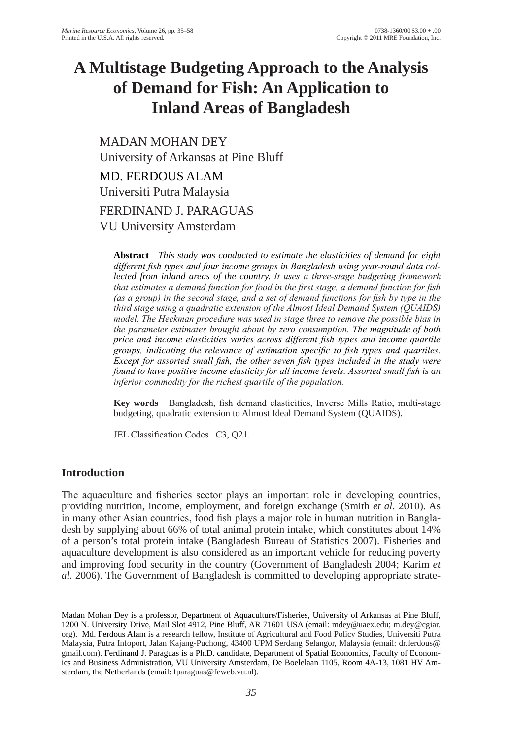# **A Multistage Budgeting Approach to the Analysis of Demand for Fish: An Application to Inland Areas of Bangladesh**

MADAN MoHAN DEy University of Arkansas at Pine Bluff

MD. FERDoUS AlAM Universiti Putra Malaysia FERDINAND J. PARAgUAS

VU University Amsterdam

**Abstract** *This study was conducted to estimate the elasticities of demand for eight different fish types and four income groups in Bangladesh using year-round data collected from inland areas of the country. It uses a three-stage budgeting framework that estimates a demand function for food in the first stage, a demand function for fish (as a group) in the second stage, and a set of demand functions for fish by type in the third stage using a quadratic extension of the Almost Ideal Demand System (QUAIDS) model. The Heckman procedure was used in stage three to remove the possible bias in the parameter estimates brought about by zero consumption. The magnitude of both price and income elasticities varies across different fish types and income quartile groups, indicating the relevance of estimation specific to fish types and quartiles. Except for assorted small fish, the other seven fish types included in the study were found to have positive income elasticity for all income levels. Assorted small fish is an inferior commodity for the richest quartile of the population.*

**Key words** Bangladesh, fish demand elasticities, Inverse Mills Ratio, multi-stage budgeting, quadratic extension to Almost Ideal Demand System (QUAIDS).

JEL Classification Codes C3, Q21.

# **Introduction**

The aquaculture and fisheries sector plays an important role in developing countries, providing nutrition, income, employment, and foreign exchange (Smith *et al*. 2010). As in many other Asian countries, food fish plays a major role in human nutrition in Bangladesh by supplying about 66% of total animal protein intake, which constitutes about 14% of a person's total protein intake (Bangladesh Bureau of Statistics 2007). Fisheries and aquaculture development is also considered as an important vehicle for reducing poverty and improving food security in the country (Government of Bangladesh 2004; Karim *et* al. 2006). The Government of Bangladesh is committed to developing appropriate strate-

Madan Mohan Dey is a professor, Department of Aquaculture/Fisheries, University of Arkansas at Pine Bluff, 1200 N. University Drive, Mail Slot 4912, Pine Bluff, AR 71601 USA (email: mdey@uaex.edu; m.dey@cgiar. org). Md. Ferdous Alam is a research fellow, Institute of Agricultural and Food Policy Studies, Universiti Putra Malaysia, Putra Infoport, Jalan Kajang-Puchong, 43400 UPM Serdang Selangor, Malaysia (email: dr.ferdous@ gmail.com). Ferdinand J. Paraguas is a Ph.D. candidate, Department of Spatial Economics, Faculty of Economics and Business Administration, VU University Amsterdam, De Boelelaan 1105, Room 4A-13, 1081 HV Amsterdam, the Netherlands (email: fparaguas@feweb.vu.nl).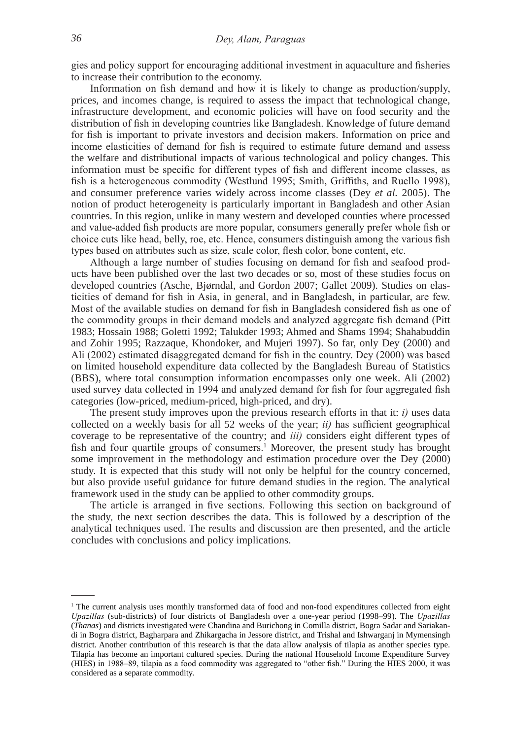gies and policy support for encouraging additional investment in aquaculture and fisheries to increase their contribution to the economy.

Information on fish demand and how it is likely to change as production/supply, prices, and incomes change, is required to assess the impact that technological change, infrastructure development, and economic policies will have on food security and the distribution of fish in developing countries like Bangladesh. Knowledge of future demand for fish is important to private investors and decision makers. Information on price and income elasticities of demand for fish is required to estimate future demand and assess the welfare and distributional impacts of various technological and policy changes. This information must be specific for different types of fish and different income classes, as fish is a heterogeneous commodity (Westlund 1995; Smith, Griffiths, and Ruello 1998), and consumer preference varies widely across income classes (Dey *et al.* 2005). The notion of product heterogeneity is particularly important in Bangladesh and other Asian countries. In this region, unlike in many western and developed counties where processed and value-added fish products are more popular, consumers generally prefer whole fish or choice cuts like head, belly, roe, etc. Hence, consumers distinguish among the various fish types based on attributes such as size, scale color, flesh color, bone content, etc.

 Although a large number of studies focusing on demand for fish and seafood products have been published over the last two decades or so, most of these studies focus on developed countries (Asche, Bjørndal, and Gordon 2007; Gallet 2009). Studies on elasticities of demand for fish in Asia, in general, and in Bangladesh, in particular, are few. Most of the available studies on demand for fish in Bangladesh considered fish as one of the commodity groups in their demand models and analyzed aggregate fish demand (Pitt 1983; Hossain 1988; goletti 1992; Talukder 1993; Ahmed and Shams 1994; Shahabuddin and Zohir 1995; Razzaque, Khondoker, and Mujeri 1997). So far, only Dey (2000) and Ali (2002) estimated disaggregated demand for fish in the country. Dey (2000) was based on limited household expenditure data collected by the Bangladesh Bureau of Statistics (BBS), where total consumption information encompasses only one week. Ali (2002) used survey data collected in 1994 and analyzed demand for fish for four aggregated fish categories (low-priced, medium-priced, high-priced, and dry).

The present study improves upon the previous research efforts in that it: *i)* uses data collected on a weekly basis for all 52 weeks of the year; *ii)* has sufficient geographical coverage to be representative of the country; and *iii)* considers eight different types of fish and four quartile groups of consumers.<sup>1</sup> Moreover, the present study has brought some improvement in the methodology and estimation procedure over the Dey (2000) study. It is expected that this study will not only be helpful for the country concerned, but also provide useful guidance for future demand studies in the region. The analytical framework used in the study can be applied to other commodity groups.

The article is arranged in five sections. Following this section on background of the study*,* the next section describes the data. This is followed by a description of the analytical techniques used. The results and discussion are then presented, and the article concludes with conclusions and policy implications.

<sup>&</sup>lt;sup>1</sup> The current analysis uses monthly transformed data of food and non-food expenditures collected from eight *Upazillas* (sub-districts) of four districts of Bangladesh over a one-year period (1998–99). The *Upazillas* (*Thanas*) and districts investigated were Chandina and Burichong in Comilla district, Bogra Sadar and Sariakandi in Bogra district, Bagharpara and Zhikargacha in Jessore district, and Trishal and Ishwarganj in Mymensingh district. Another contribution of this research is that the data allow analysis of tilapia as another species type. Tilapia has become an important cultured species. During the national Household Income Expenditure Survey (HIES) in 1988–89, tilapia as a food commodity was aggregated to "other fish." During the HIES 2000, it was considered as a separate commodity.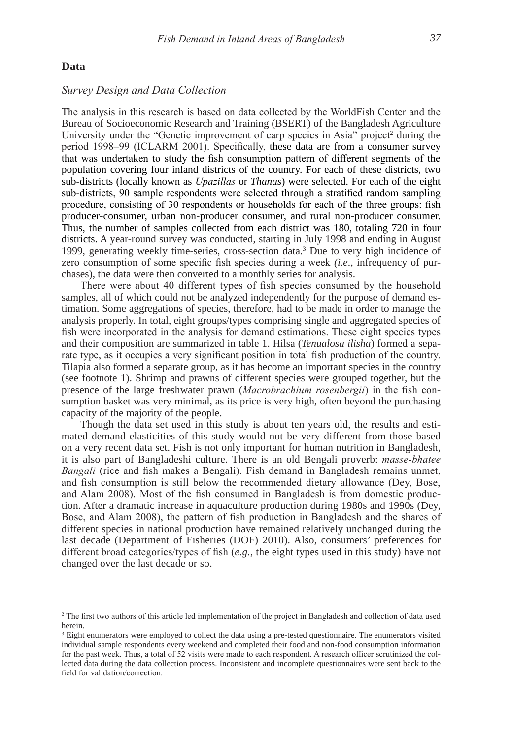#### **Data**

#### *Survey Design and Data Collection*

The analysis in this research is based on data collected by the WorldFish Center and the Bureau of Socioeconomic Research and Training (BSERT) of the Bangladesh Agriculture University under the "Genetic improvement of carp species in Asia" project<sup>2</sup> during the period 1998–99 (ICLARM 2001). Specifically, these data are from a consumer survey that was undertaken to study the fish consumption pattern of different segments of the population covering four inland districts of the country. For each of these districts, two sub-districts (locally known as *Upazillas* or *Thanas*) were selected. For each of the eight sub-districts, 90 sample respondents were selected through a stratified random sampling procedure, consisting of 30 respondents or households for each of the three groups: fish producer-consumer, urban non-producer consumer, and rural non-producer consumer. Thus, the number of samples collected from each district was 180, totaling 720 in four districts. A year-round survey was conducted, starting in July 1998 and ending in August 1999, generating weekly time-series, cross-section data.3 Due to very high incidence of zero consumption of some specific fish species during a week *(i.e*., infrequency of purchases), the data were then converted to a monthly series for analysis.

There were about 40 different types of fish species consumed by the household samples, all of which could not be analyzed independently for the purpose of demand estimation. Some aggregations of species, therefore, had to be made in order to manage the analysis properly. In total, eight groups/types comprising single and aggregated species of fish were incorporated in the analysis for demand estimations. These eight species types and their composition are summarized in table 1. Hilsa (*Tenualosa ilisha*) formed a separate type, as it occupies a very significant position in total fish production of the country. Tilapia also formed a separate group, as it has become an important species in the country (see footnote 1). Shrimp and prawns of different species were grouped together, but the presence of the large freshwater prawn (*Macrobrachium rosenbergii*) in the fish consumption basket was very minimal, as its price is very high, often beyond the purchasing capacity of the majority of the people.

Though the data set used in this study is about ten years old, the results and estimated demand elasticities of this study would not be very different from those based on a very recent data set. Fish is not only important for human nutrition in Bangladesh, it is also part of Bangladeshi culture. There is an old Bengali proverb: *masse-bhatee Bangali* (rice and fish makes a Bengali). Fish demand in Bangladesh remains unmet, and fish consumption is still below the recommended dietary allowance (Dey, Bose, and Alam 2008). Most of the fish consumed in Bangladesh is from domestic production. After a dramatic increase in aquaculture production during 1980s and 1990s (Dey, Bose, and Alam 2008), the pattern of fish production in Bangladesh and the shares of different species in national production have remained relatively unchanged during the last decade (Department of Fisheries (DoF) 2010). Also, consumers' preferences for different broad categories/types of fish (*e.g.*, the eight types used in this study) have not changed over the last decade or so.

<sup>&</sup>lt;sup>2</sup> The first two authors of this article led implementation of the project in Bangladesh and collection of data used herein.

<sup>&</sup>lt;sup>3</sup> Eight enumerators were employed to collect the data using a pre-tested questionnaire. The enumerators visited individual sample respondents every weekend and completed their food and non-food consumption information for the past week. Thus, a total of 52 visits were made to each respondent. A research officer scrutinized the collected data during the data collection process. Inconsistent and incomplete questionnaires were sent back to the field for validation/correction.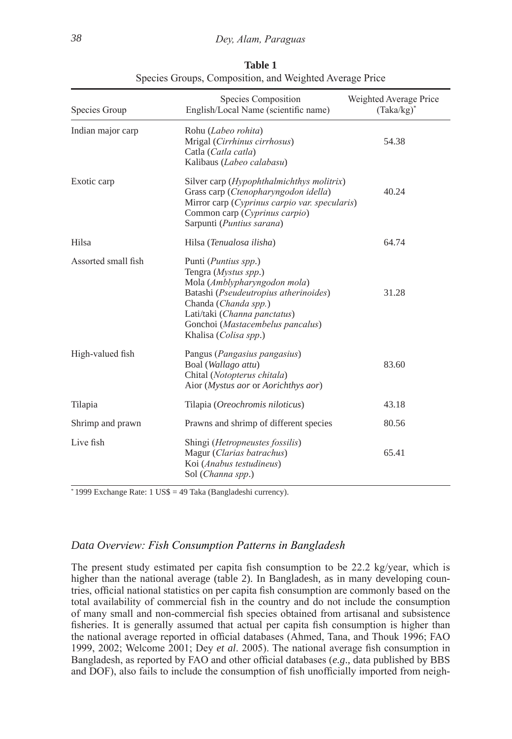| Species Group       | Species Composition<br>English/Local Name (scientific name)                                                                                                                                                                                | Weighted Average Price<br>$(Taka/kg)^*$ |
|---------------------|--------------------------------------------------------------------------------------------------------------------------------------------------------------------------------------------------------------------------------------------|-----------------------------------------|
| Indian major carp   | Rohu (Labeo rohita)<br>Mrigal (Cirrhinus cirrhosus)<br>Catla (Catla catla)<br>Kalibaus (Labeo calabasu)                                                                                                                                    | 54.38                                   |
| Exotic carp         | Silver carp ( <i>Hypophthalmichthys molitrix</i> )<br>Grass carp (Ctenopharyngodon idella)<br>Mirror carp (Cyprinus carpio var. specularis)<br>Common carp (Cyprinus carpio)<br>Sarpunti (Puntius sarana)                                  | 40.24                                   |
| Hilsa               | Hilsa (Tenualosa ilisha)                                                                                                                                                                                                                   | 64.74                                   |
| Assorted small fish | Punti (Puntius spp.)<br>Tengra (Mystus spp.)<br>Mola (Amblypharyngodon mola)<br>Batashi (Pseudeutropius atherinoides)<br>Chanda (Chanda spp.)<br>Lati/taki (Channa panctatus)<br>Gonchoi (Mastacembelus pancalus)<br>Khalisa (Colisa spp.) | 31.28                                   |
| High-valued fish    | Pangus ( <i>Pangasius pangasius</i> )<br>Boal (Wallago attu)<br>Chital (Notopterus chitala)<br>Aior ( <i>Mystus aor</i> or <i>Aorichthys aor</i> )                                                                                         | 83.60                                   |
| Tilapia             | Tilapia (Oreochromis niloticus)                                                                                                                                                                                                            | 43.18                                   |
| Shrimp and prawn    | Prawns and shrimp of different species                                                                                                                                                                                                     | 80.56                                   |
| Live fish           | Shingi ( <i>Hetropneustes fossilis</i> )<br>Magur (Clarias batrachus)<br>Koi (Anabus testudineus)<br>Sol (Channa spp.)                                                                                                                     | 65.41                                   |

**Table 1** Species Groups, Composition, and Weighted Average Price

\* 1999 Exchange Rate: 1 US\$ = 49 Taka (Bangladeshi currency).

# *Data Overview: Fish Consumption Patterns in Bangladesh*

The present study estimated per capita fish consumption to be 22.2 kg/year, which is higher than the national average (table 2). In Bangladesh, as in many developing countries, official national statistics on per capita fish consumption are commonly based on the total availability of commercial fish in the country and do not include the consumption of many small and non-commercial fish species obtained from artisanal and subsistence fisheries. It is generally assumed that actual per capita fish consumption is higher than the national average reported in official databases (Ahmed, Tana, and Thouk 1996; FAO 1999, 2002; Welcome 2001; Dey *et al*. 2005). The national average fish consumption in Bangladesh, as reported by FAO and other official databases (*e.g*., data published by BBS and DOF), also fails to include the consumption of fish unofficially imported from neigh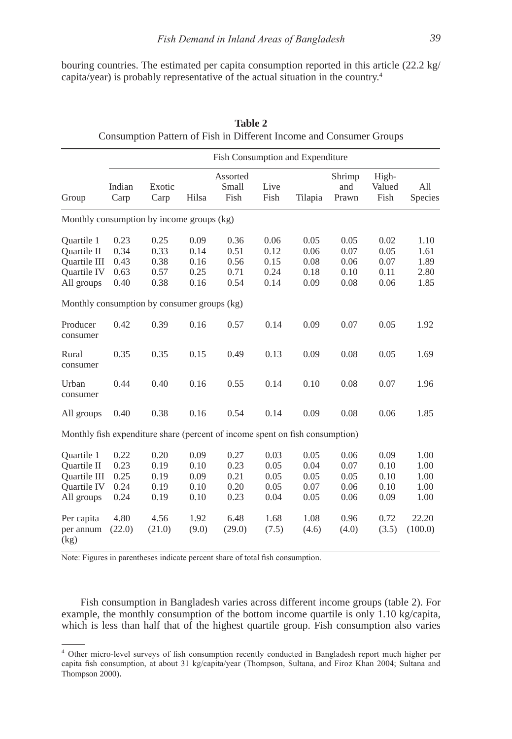bouring countries. The estimated per capita consumption reported in this article (22.2 kg/ capita/year) is probably representative of the actual situation in the country.4

|                                                                                             |                                      |                                      |                                      | Fish Consumption and Expenditure     |                                      |                                      |                                      |                                      |                                      |
|---------------------------------------------------------------------------------------------|--------------------------------------|--------------------------------------|--------------------------------------|--------------------------------------|--------------------------------------|--------------------------------------|--------------------------------------|--------------------------------------|--------------------------------------|
| Group                                                                                       | Indian<br>Carp                       | Exotic<br>Carp                       | Hilsa                                | Assorted<br>Small<br>Fish            | Live<br>Fish                         | Tilapia                              | Shrimp<br>and<br>Prawn               | High-<br>Valued<br>Fish              | All<br>Species                       |
| Monthly consumption by income groups (kg)                                                   |                                      |                                      |                                      |                                      |                                      |                                      |                                      |                                      |                                      |
| Quartile 1<br><b>Ouartile II</b><br><b>Ouartile III</b><br>Quartile IV<br>All groups        | 0.23<br>0.34<br>0.43<br>0.63<br>0.40 | 0.25<br>0.33<br>0.38<br>0.57<br>0.38 | 0.09<br>0.14<br>0.16<br>0.25<br>0.16 | 0.36<br>0.51<br>0.56<br>0.71<br>0.54 | 0.06<br>0.12<br>0.15<br>0.24<br>0.14 | 0.05<br>0.06<br>0.08<br>0.18<br>0.09 | 0.05<br>0.07<br>0.06<br>0.10<br>0.08 | 0.02<br>0.05<br>0.07<br>0.11<br>0.06 | 1.10<br>1.61<br>1.89<br>2.80<br>1.85 |
| Monthly consumption by consumer groups (kg)                                                 |                                      |                                      |                                      |                                      |                                      |                                      |                                      |                                      |                                      |
| Producer<br>consumer                                                                        | 0.42                                 | 0.39                                 | 0.16                                 | 0.57                                 | 0.14                                 | 0.09                                 | 0.07                                 | 0.05                                 | 1.92                                 |
| Rural<br>consumer                                                                           | 0.35                                 | 0.35                                 | 0.15                                 | 0.49                                 | 0.13                                 | 0.09                                 | 0.08                                 | 0.05                                 | 1.69                                 |
| Urban<br>consumer                                                                           | 0.44                                 | 0.40                                 | 0.16                                 | 0.55                                 | 0.14                                 | 0.10                                 | 0.08                                 | 0.07                                 | 1.96                                 |
| All groups                                                                                  | 0.40                                 | 0.38                                 | 0.16                                 | 0.54                                 | 0.14                                 | 0.09                                 | 0.08                                 | 0.06                                 | 1.85                                 |
| Monthly fish expenditure share (percent of income spent on fish consumption)                |                                      |                                      |                                      |                                      |                                      |                                      |                                      |                                      |                                      |
| <b>Ouartile 1</b><br><b>Ouartile II</b><br><b>Ouartile III</b><br>Quartile IV<br>All groups | 0.22<br>0.23<br>0.25<br>0.24<br>0.24 | 0.20<br>0.19<br>0.19<br>0.19<br>0.19 | 0.09<br>0.10<br>0.09<br>0.10<br>0.10 | 0.27<br>0.23<br>0.21<br>0.20<br>0.23 | 0.03<br>0.05<br>0.05<br>0.05<br>0.04 | 0.05<br>0.04<br>0.05<br>0.07<br>0.05 | 0.06<br>0.07<br>0.05<br>0.06<br>0.06 | 0.09<br>0.10<br>0.10<br>0.10<br>0.09 | 1.00<br>1.00<br>1.00<br>1.00<br>1.00 |
| Per capita<br>per annum<br>(kg)                                                             | 4.80<br>(22.0)                       | 4.56<br>(21.0)                       | 1.92<br>(9.0)                        | 6.48<br>(29.0)                       | 1.68<br>(7.5)                        | 1.08<br>(4.6)                        | 0.96<br>(4.0)                        | 0.72<br>(3.5)                        | 22.20<br>(100.0)                     |

**Table 2** Consumption Pattern of Fish in Different Income and Consumer Groups

Note: Figures in parentheses indicate percent share of total fish consumption.

Fish consumption in Bangladesh varies across different income groups (table 2). For example, the monthly consumption of the bottom income quartile is only 1.10 kg/capita, which is less than half that of the highest quartile group. Fish consumption also varies

<sup>4</sup> Other micro-level surveys of fish consumption recently conducted in Bangladesh report much higher per capita fish consumption, at about 31 kg/capita/year (Thompson, Sultana, and Firoz Khan 2004; Sultana and Thompson 2000).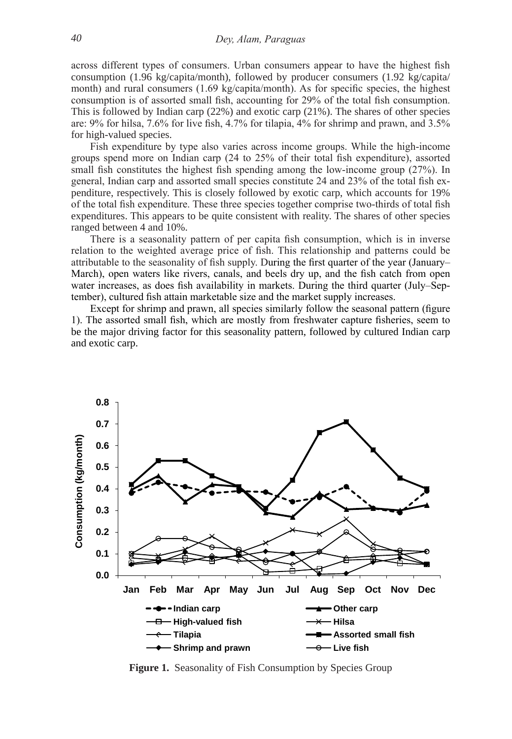across different types of consumers. Urban consumers appear to have the highest fish consumption (1.96 kg/capita/month), followed by producer consumers (1.92 kg/capita/ month) and rural consumers (1.69 kg/capita/month). As for specific species, the highest consumption is of assorted small fish, accounting for 29% of the total fish consumption. This is followed by Indian carp (22%) and exotic carp (21%). The shares of other species are: 9% for hilsa, 7.6% for live fish, 4.7% for tilapia, 4% for shrimp and prawn, and 3.5% for high-valued species.

 Fish expenditure by type also varies across income groups. While the high-income groups spend more on Indian carp (24 to 25% of their total fish expenditure), assorted small fish constitutes the highest fish spending among the low-income group (27%). In general, Indian carp and assorted small species constitute 24 and 23% of the total fish expenditure, respectively. This is closely followed by exotic carp, which accounts for 19% of the total fish expenditure. These three species together comprise two-thirds of total fish expenditures. This appears to be quite consistent with reality. The shares of other species ranged between 4 and 10%.

There is a seasonality pattern of per capita fish consumption, which is in inverse relation to the weighted average price of fish. This relationship and patterns could be attributable to the seasonality of fish supply. During the first quarter of the year (January– March), open waters like rivers, canals, and beels dry up, and the fish catch from open water increases, as does fish availability in markets. During the third quarter (July–September), cultured fish attain marketable size and the market supply increases.

 Except for shrimp and prawn, all species similarly follow the seasonal pattern (figure 1). The assorted small fish, which are mostly from freshwater capture fisheries, seem to be the major driving factor for this seasonality pattern, followed by cultured Indian carp and exotic carp.



**Figure 1.** Seasonality of Fish Consumption by Species Group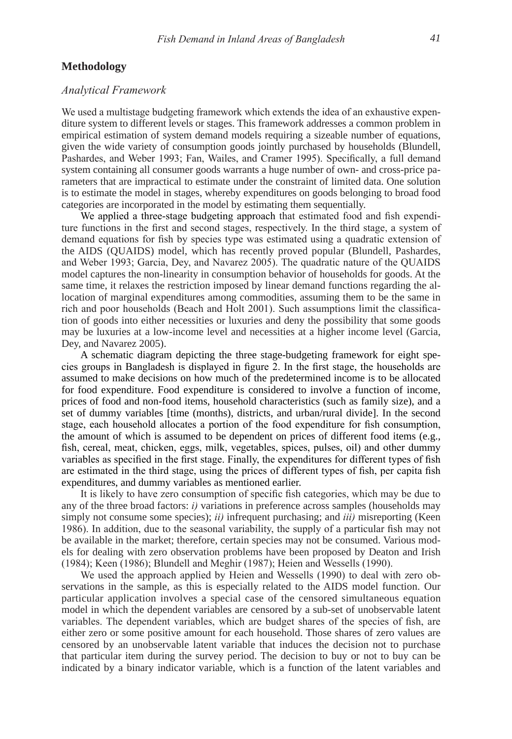#### **Methodology**

#### *Analytical Framework*

We used a multistage budgeting framework which extends the idea of an exhaustive expenditure system to different levels or stages. This framework addresses a common problem in empirical estimation of system demand models requiring a sizeable number of equations, given the wide variety of consumption goods jointly purchased by households (Blundell, Pashardes, and Weber 1993; Fan, Wailes, and Cramer 1995). Specifically, a full demand system containing all consumer goods warrants a huge number of own- and cross-price parameters that are impractical to estimate under the constraint of limited data. one solution is to estimate the model in stages, whereby expenditures on goods belonging to broad food categories are incorporated in the model by estimating them sequentially.

 We applied a three-stage budgeting approach that estimated food and fish expenditure functions in the first and second stages, respectively. In the third stage, a system of demand equations for fish by species type was estimated using a quadratic extension of the AIDS (QUAIDS) model, which has recently proved popular (Blundell, Pashardes, and Weber 1993; Garcia, Dey, and Navarez 2005). The quadratic nature of the QUAIDS model captures the non-linearity in consumption behavior of households for goods. At the same time, it relaxes the restriction imposed by linear demand functions regarding the allocation of marginal expenditures among commodities, assuming them to be the same in rich and poor households (Beach and Holt 2001). Such assumptions limit the classification of goods into either necessities or luxuries and deny the possibility that some goods may be luxuries at a low-income level and necessities at a higher income level (Garcia, Dey, and Navarez 2005).

A schematic diagram depicting the three stage-budgeting framework for eight species groups in Bangladesh is displayed in figure 2. In the first stage, the households are assumed to make decisions on how much of the predetermined income is to be allocated for food expenditure. Food expenditure is considered to involve a function of income, prices of food and non-food items, household characteristics (such as family size), and a set of dummy variables [time (months), districts, and urban/rural divide]. In the second stage, each household allocates a portion of the food expenditure for fish consumption, the amount of which is assumed to be dependent on prices of different food items (e.g., fish, cereal, meat, chicken, eggs, milk, vegetables, spices, pulses, oil) and other dummy variables as specified in the first stage. Finally, the expenditures for different types of fish are estimated in the third stage, using the prices of different types of fish, per capita fish expenditures, and dummy variables as mentioned earlier.

 It is likely to have zero consumption of specific fish categories, which may be due to any of the three broad factors: *i)* variations in preference across samples (households may simply not consume some species); *ii)* infrequent purchasing; and *iii)* misreporting (Keen 1986). In addition, due to the seasonal variability, the supply of a particular fish may not be available in the market; therefore, certain species may not be consumed. Various models for dealing with zero observation problems have been proposed by Deaton and Irish (1984); Keen (1986); Blundell and Meghir (1987); Heien and Wessells (1990).

 We used the approach applied by Heien and Wessells (1990) to deal with zero observations in the sample, as this is especially related to the AIDS model function. our particular application involves a special case of the censored simultaneous equation model in which the dependent variables are censored by a sub-set of unobservable latent variables. The dependent variables, which are budget shares of the species of fish, are either zero or some positive amount for each household. Those shares of zero values are censored by an unobservable latent variable that induces the decision not to purchase that particular item during the survey period. The decision to buy or not to buy can be indicated by a binary indicator variable, which is a function of the latent variables and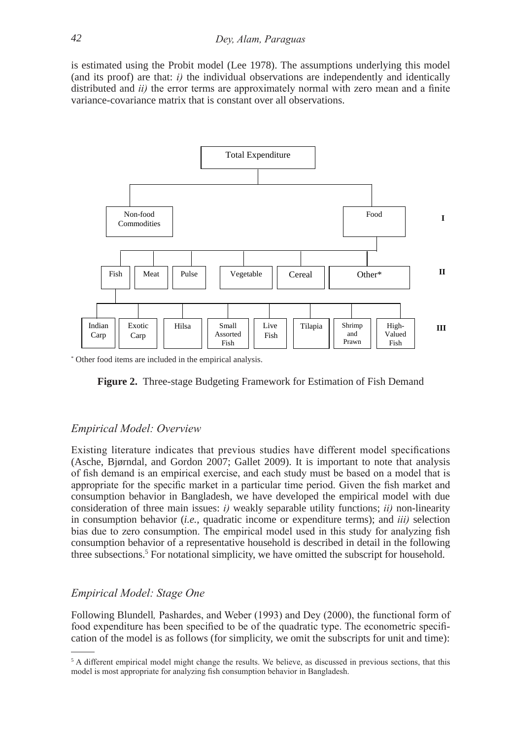is estimated using the Probit model (lee 1978). The assumptions underlying this model (and its proof) are that: *i)* the individual observations are independently and identically distributed and *ii)* the error terms are approximately normal with zero mean and a finite variance-covariance matrix that is constant over all observations.



\* other food items are included in the empirical analysis.



# *Empirical Model: Overview*

Existing literature indicates that previous studies have different model specifications (Asche, Bjørndal, and Gordon 2007; Gallet 2009). It is important to note that analysis of fish demand is an empirical exercise, and each study must be based on a model that is appropriate for the specific market in a particular time period. Given the fish market and consumption behavior in Bangladesh, we have developed the empirical model with due consideration of three main issues: *i)* weakly separable utility functions; *ii)* non-linearity in consumption behavior (*i.e.*, quadratic income or expenditure terms); and *iii)* selection bias due to zero consumption. The empirical model used in this study for analyzing fish consumption behavior of a representative household is described in detail in the following three subsections.<sup>5</sup> For notational simplicity, we have omitted the subscript for household.

# *Empirical Model: Stage One*

Following Blundell*,* Pashardes, and Weber (1993) and Dey (2000), the functional form of food expenditure has been specified to be of the quadratic type. The econometric specification of the model is as follows (for simplicity, we omit the subscripts for unit and time):

<sup>&</sup>lt;sup>5</sup> A different empirical model might change the results. We believe, as discussed in previous sections, that this model is most appropriate for analyzing fish consumption behavior in Bangladesh.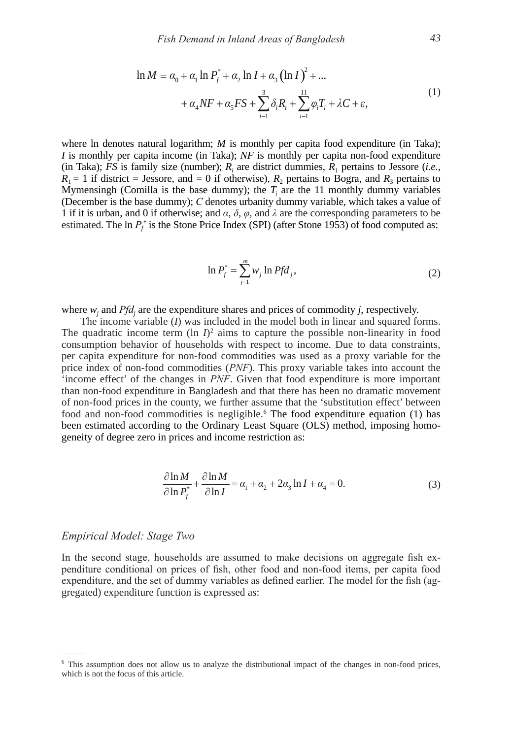$$
\ln M = \alpha_0 + \alpha_1 \ln P_f^* + \alpha_2 \ln I + \alpha_3 \left(\ln I\right)^2 + \dots
$$
  
+ 
$$
\alpha_4 N F + \alpha_5 F S + \sum_{i=1}^3 \delta_i R_i + \sum_{i=1}^{11} \varphi_i T_i + \lambda C + \varepsilon,
$$
 (1)

where ln denotes natural logarithm; *M* is monthly per capita food expenditure (in Taka); *I* is monthly per capita income (in Taka); *NF* is monthly per capita non-food expenditure (in Taka); *FS* is family size (number);  $R_i$  are district dummies,  $R_1$  pertains to Jessore (*i.e.*,  $R_1 = 1$  if district = Jessore, and = 0 if otherwise),  $R_2$  pertains to Bogra, and  $R_3$  pertains to Mymensingh (Comilla is the base dummy); the  $T_i$  are the 11 monthly dummy variables (December is the base dummy); *C* denotes urbanity dummy variable, which takes a value of 1 if it is urban, and 0 if otherwise; and  $\alpha$ ,  $\delta$ ,  $\varphi$ , and  $\lambda$  are the corresponding parameters to be estimated. The ln  $P_f^*$  is the Stone Price Index (SPI) (after Stone 1953) of food computed as:

$$
\ln P_j^* = \sum_{j=1}^m w_j \ln P f d_j,
$$
 (2)

where  $w_j$  and  $Pfd_j$  are the expenditure shares and prices of commodity *j*, respectively.

*m*

The income variable (*I*) was included in the model both in linear and squared forms. The quadratic income term  $(\ln I)^2$  aims to capture the possible non-linearity in food consumption behavior of households with respect to income. Due to data constraints, per capita expenditure for non-food commodities was used as a proxy variable for the price index of non-food commodities (*PNF*). This proxy variable takes into account the 'income effect' of the changes in *PNF*. Given that food expenditure is more important than non-food expenditure in Bangladesh and that there has been no dramatic movement of non-food prices in the county, we further assume that the 'substitution effect' between food and non-food commodities is negligible.<sup>6</sup> The food expenditure equation (1) has been estimated according to the Ordinary Least Square (OLS) method, imposing homogeneity of degree zero in prices and income restriction as:

$$
\frac{\partial \ln M}{\partial \ln P_f^*} + \frac{\partial \ln M}{\partial \ln I} = \alpha_1 + \alpha_2 + 2\alpha_3 \ln I + \alpha_4 = 0.
$$
 (3)

#### *Empirical Model: Stage Two*

In the second stage, households are assumed to make decisions on aggregate fish expenditure conditional on prices of fish, other food and non-food items, per capita food expenditure, and the set of dummy variables as defined earlier. The model for the fish (aggregated) expenditure function is expressed as:

<sup>&</sup>lt;sup>6</sup> This assumption does not allow us to analyze the distributional impact of the changes in non-food prices, which is not the focus of this article.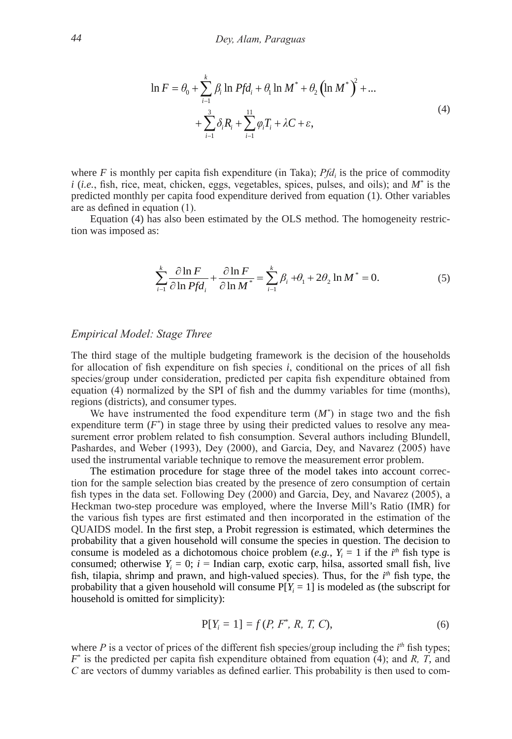$$
\ln F = \theta_0 + \sum_{i=1}^{k} \beta_i \ln P f d_i + \theta_1 \ln M^* + \theta_2 \left( \ln M^* \right)^2 + \dots + \sum_{i=1}^{3} \delta_i R_i + \sum_{i=1}^{11} \varphi_i T_i + \lambda C + \varepsilon,
$$
\n(4)

where  $F$  is monthly per capita fish expenditure (in Taka);  $Pfd_i$  is the price of commodity *i* (*i.e.*, fish, rice, meat, chicken, eggs, vegetables, spices, pulses, and oils); and *M\** is the predicted monthly per capita food expenditure derived from equation (1). other variables are as defined in equation (1).

Equation (4) has also been estimated by the olS method. The homogeneity restriction was imposed as:

$$
\sum_{i=1}^{k} \frac{\partial \ln F}{\partial \ln P f d_i} + \frac{\partial \ln F}{\partial \ln M^*} = \sum_{i=1}^{k} \beta_i + \theta_1 + 2\theta_2 \ln M^* = 0.
$$
 (5)

#### *Empirical Model: Stage Three*

The third stage of the multiple budgeting framework is the decision of the households for allocation of fish expenditure on fish species *i*, conditional on the prices of all fish species/group under consideration, predicted per capita fish expenditure obtained from equation (4) normalized by the SPI of fish and the dummy variables for time (months), regions (districts), and consumer types.

We have instrumented the food expenditure term  $(M^*)$  in stage two and the fish expenditure term ( $F^*$ ) in stage three by using their predicted values to resolve any measurement error problem related to fish consumption. Several authors including Blundell, Pashardes, and Weber (1993), Dey (2000), and Garcia, Dey, and Navarez (2005) have used the instrumental variable technique to remove the measurement error problem.

The estimation procedure for stage three of the model takes into account correction for the sample selection bias created by the presence of zero consumption of certain fish types in the data set. Following Dey (2000) and Garcia, Dey, and Navarez (2005), a Heckman two-step procedure was employed, where the Inverse Mill's Ratio (IMR) for the various fish types are first estimated and then incorporated in the estimation of the QUAIDS model. In the first step, a Probit regression is estimated, which determines the probability that a given household will consume the species in question. The decision to consume is modeled as a dichotomous choice problem (*e.g.*,  $Y_i = 1$  if the *i*<sup>th</sup> fish type is consumed; otherwise  $Y_i = 0$ ;  $i =$  Indian carp, exotic carp, hilsa, assorted small fish, live fish, tilapia, shrimp and prawn, and high-valued species). Thus, for the *i*<sup>th</sup> fish type, the probability that a given household will consume  $P[Y_i = 1]$  is modeled as (the subscript for household is omitted for simplicity):

$$
P[Y_i = 1] = f(P, F^*, R, T, C),
$$
\n(6)

where  $P$  is a vector of prices of the different fish species/group including the  $i<sup>th</sup>$  fish types; *F*\* is the predicted per capita fish expenditure obtained from equation (4); and *R, T*, and *C* are vectors of dummy variables as defined earlier. This probability is then used to com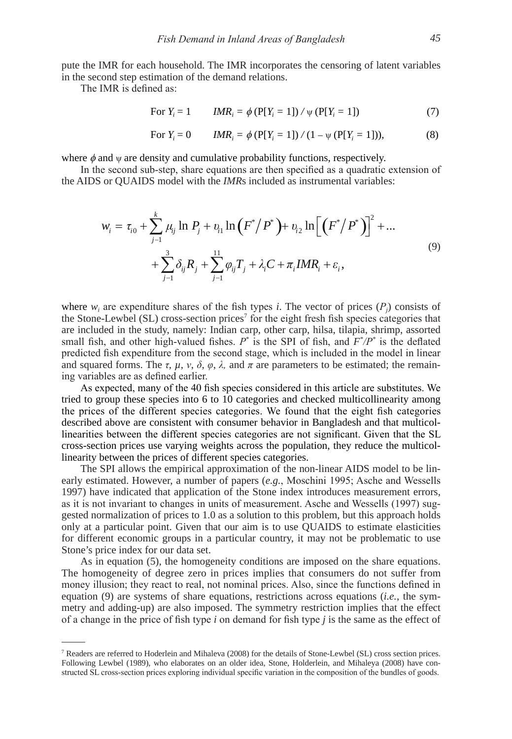pute the IMR for each household. The IMR incorporates the censoring of latent variables in the second step estimation of the demand relations.

The IMR is defined as:

$$
\text{For } Y_i = 1 \qquad \text{IMR}_i = \phi \left( \mathbf{P}[Y_i = 1] \right) / \psi \left( \mathbf{P}[Y_i = 1] \right) \tag{7}
$$

For 
$$
Y_i = 0
$$
  $IMR_i = \phi (\text{P}[Y_i = 1]) / (1 - \psi (\text{P}[Y_i = 1]))$ , (8)

where  $\phi$  and  $\psi$  are density and cumulative probability functions, respectively.<br>In the second sub-step, share equations are then specified as a quadratic

 In the second sub-step, share equations are then specified as a quadratic extension of the AIDS or QUAIDS model with the *IMR*s included as instrumental variables:

$$
w_{i} = \tau_{i0} + \sum_{j=1}^{k} \mu_{ij} \ln P_{j} + v_{i1} \ln (F^{*}/P^{*}) + v_{i2} \ln [(F^{*}/P^{*})]^{2} + ...
$$
  
+ 
$$
\sum_{j=1}^{3} \delta_{ij} R_{j} + \sum_{j=1}^{11} \varphi_{ij} T_{j} + \lambda_{i} C + \pi_{i} I M R_{i} + \varepsilon_{i},
$$
 (9)

where  $w_i$  are expenditure shares of the fish types *i*. The vector of prices  $(P_j)$  consists of the Stone-Lewbel (SL) cross-section prices<sup>7</sup> for the eight fresh fish species categories that are included in the study, namely: Indian carp, other carp, hilsa, tilapia, shrimp, assorted small fish, and other high-valued fishes.  $P^*$  is the SPI of fish, and  $F^*/P^*$  is the deflated predicted fish expenditure from the second stage, which is included in the model in linear and squared forms. The  $\tau$ ,  $\mu$ ,  $\nu$ ,  $\delta$ ,  $\varphi$ ,  $\lambda$ , and  $\pi$  are parameters to be estimated; the remaining variables are as defined earlier.

 As expected, many of the 40 fish species considered in this article are substitutes. We tried to group these species into 6 to 10 categories and checked multicollinearity among the prices of the different species categories. We found that the eight fish categories described above are consistent with consumer behavior in Bangladesh and that multicollinearities between the different species categories are not significant. Given that the SL cross-section prices use varying weights across the population, they reduce the multicollinearity between the prices of different species categories.

The SPI allows the empirical approximation of the non-linear AIDS model to be linearly estimated. However, a number of papers (*e.g.*, Moschini 1995; Asche and Wessells 1997) have indicated that application of the Stone index introduces measurement errors, as it is not invariant to changes in units of measurement. Asche and Wessells (1997) suggested normalization of prices to 1.0 as a solution to this problem, but this approach holds only at a particular point. Given that our aim is to use QUAIDS to estimate elasticities for different economic groups in a particular country, it may not be problematic to use Stone's price index for our data set.

As in equation (5), the homogeneity conditions are imposed on the share equations. The homogeneity of degree zero in prices implies that consumers do not suffer from money illusion; they react to real, not nominal prices. Also, since the functions defined in equation (9) are systems of share equations, restrictions across equations (*i.e.*, the symmetry and adding-up) are also imposed. The symmetry restriction implies that the effect of a change in the price of fish type *i* on demand for fish type *j* is the same as the effect of

<sup>7</sup> Readers are referred to Hoderlein and Mihaleva (2008) for the details of Stone-lewbel (Sl) cross section prices. Following lewbel (1989), who elaborates on an older idea, Stone, Holderlein, and Mihaleya (2008) have constructed SL cross-section prices exploring individual specific variation in the composition of the bundles of goods.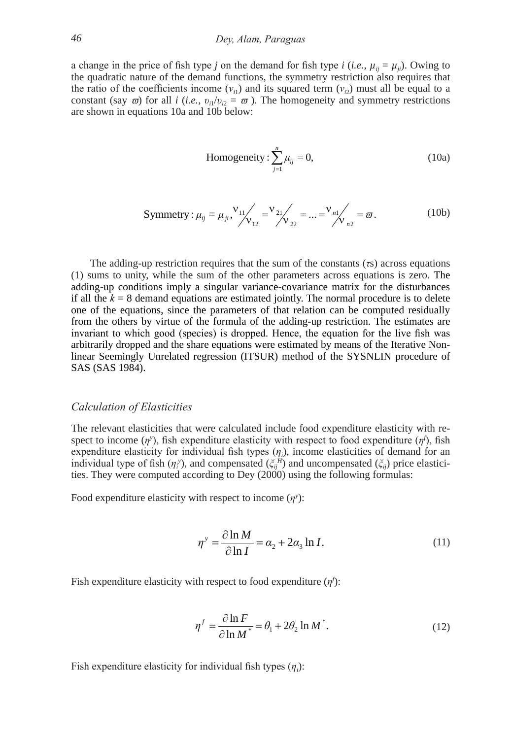a change in the price of fish type *j* on the demand for fish type *i* (*i.e.*,  $\mu_{ij} = \mu_{ji}$ ). Owing to the quadratic nature of the demand functions, the symmetry restriction also requires that the ratio of the coefficients income  $(v_{i1})$  and its squared term  $(v_{i2})$  must all be equal to a constant (say  $\bar{\omega}$ ) for all *i* (*i.e.*,  $v_{ii}/v_{i2} = \bar{\omega}$ ). The homogeneity and symmetry restrictions are shown in equations 10a and 10b below:

Homogeneity: 
$$
\sum_{j=1}^{n} \mu_{ij} = 0,
$$
 (10a)

Symmetry: 
$$
\mu_{ij} = \mu_{ji}
$$
,  $\nu_{11} / \nu_{12} = \nu_{21} / \nu_{22} = ... = \nu_{n1} / \nu_{n2} = \varpi$ . (10b)

The adding-up restriction requires that the sum of the constants (*τ*s) across equations (1) sums to unity, while the sum of the other parameters across equations is zero. The adding-up conditions imply a singular variance-covariance matrix for the disturbances if all the  $k = 8$  demand equations are estimated jointly. The normal procedure is to delete one of the equations, since the parameters of that relation can be computed residually from the others by virtue of the formula of the adding-up restriction. The estimates are invariant to which good (species) is dropped. Hence, the equation for the live fish was arbitrarily dropped and the share equations were estimated by means of the Iterative Nonlinear Seemingly Unrelated regression (ITSUR) method of the SySNlIN procedure of SAS (SAS 1984).

#### *Calculation of Elasticities*

The relevant elasticities that were calculated include food expenditure elasticity with respect to income  $(\eta^y)$ , fish expenditure elasticity with respect to food expenditure  $(\eta^f)$ , fish expenditure elasticity for individual fish types (*η<sup>i</sup>* ), income elasticities of demand for an individual type of fish  $(\eta_i)$ , and compensated  $(\xi_i)$  and uncompensated  $(\xi_i)$  price elasticities. They were computed according to Dey (2000) using the following formulas:

Food expenditure elasticity with respect to income  $(\eta^y)$ :

$$
\eta^{\nu} = \frac{\partial \ln M}{\partial \ln I} = \alpha_2 + 2\alpha_3 \ln I. \tag{11}
$$

Fish expenditure elasticity with respect to food expenditure (*η<sup>f</sup>* ):

$$
\eta^f = \frac{\partial \ln F}{\partial \ln M^*} = \theta_1 + 2\theta_2 \ln M^*.
$$
 (12)

Fish expenditure elasticity for individual fish types  $(\eta_i)$ :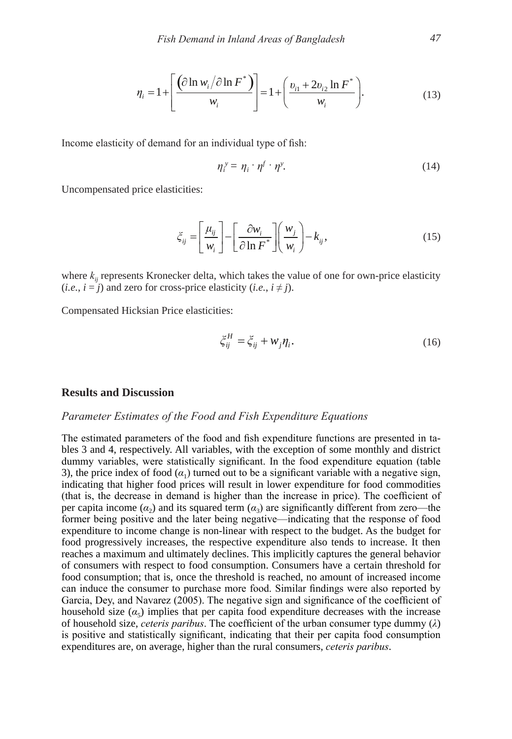$$
\eta_{i} = 1 + \left[ \frac{\left( \partial \ln w_{i} / \partial \ln F^{*} \right)}{w_{i}} \right] = 1 + \left( \frac{v_{i1} + 2v_{i2} \ln F^{*}}{w_{i}} \right).
$$
(13)

Income elasticity of demand for an individual type of fish:

$$
\eta_i^{\,\mathrm{y}} = \eta_i \cdot \eta^f \cdot \eta^{\mathrm{y}}.\tag{14}
$$

Uncompensated price elasticities:

$$
\xi_{ij} = \left[\frac{\mu_{ij}}{w_i}\right] - \left[\frac{\partial w_i}{\partial \ln F^*}\right] \left(\frac{w_j}{w_i}\right) - k_{ij},\tag{15}
$$

where  $k_{ii}$  represents Kronecker delta, which takes the value of one for own-price elasticity  $(i.e., i = j)$  and zero for cross-price elasticity  $(i.e., i \neq j)$ .

Compensated Hicksian Price elasticities:

$$
\xi_{ij}^H = \xi_{ij} + w_j \eta_i. \tag{16}
$$

#### **Results and Discussion**

# *Parameter Estimates of the Food and Fish Expenditure Equations*

The estimated parameters of the food and fish expenditure functions are presented in tables 3 and 4, respectively. All variables, with the exception of some monthly and district dummy variables, were statistically significant. In the food expenditure equation (table 3), the price index of food  $(a_1)$  turned out to be a significant variable with a negative sign, indicating that higher food prices will result in lower expenditure for food commodities (that is, the decrease in demand is higher than the increase in price). The coefficient of per capita income ( $\alpha_2$ ) and its squared term ( $\alpha_3$ ) are significantly different from zero—the former being positive and the later being negative—indicating that the response of food expenditure to income change is non-linear with respect to the budget. As the budget for food progressively increases, the respective expenditure also tends to increase. It then reaches a maximum and ultimately declines. This implicitly captures the general behavior of consumers with respect to food consumption. Consumers have a certain threshold for food consumption; that is, once the threshold is reached, no amount of increased income can induce the consumer to purchase more food. Similar findings were also reported by Garcia, Dey, and Navarez (2005). The negative sign and significance of the coefficient of household size  $(\alpha_5)$  implies that per capita food expenditure decreases with the increase of household size, *ceteris paribus*. The coefficient of the urban consumer type dummy (*λ*) is positive and statistically significant, indicating that their per capita food consumption expenditures are, on average, higher than the rural consumers, *ceteris paribus*.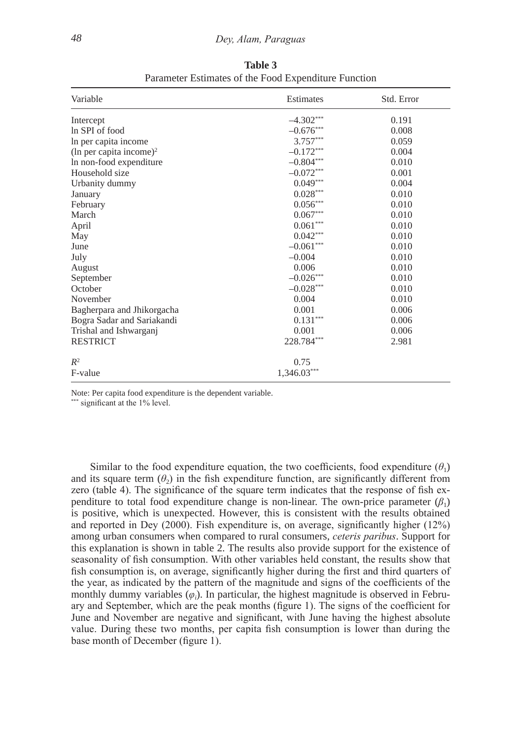| Variable                            | Estimates     | Std. Error |  |  |
|-------------------------------------|---------------|------------|--|--|
| Intercept                           | $-4.302***$   | 0.191      |  |  |
| In SPI of food                      | $-0.676***$   | 0.008      |  |  |
| In per capita income                | $3.757***$    | 0.059      |  |  |
| (ln per capita income) <sup>2</sup> | $-0.172***$   | 0.004      |  |  |
| In non-food expenditure             | $-0.804***$   | 0.010      |  |  |
| Household size                      | $-0.072***$   | 0.001      |  |  |
| Urbanity dummy                      | $0.049***$    | 0.004      |  |  |
| January                             | $0.028***$    | 0.010      |  |  |
| February                            | $0.056***$    | 0.010      |  |  |
| March                               | $0.067***$    | 0.010      |  |  |
| April                               | $0.061***$    | 0.010      |  |  |
| May                                 | $0.042***$    | 0.010      |  |  |
| June                                | $-0.061***$   | 0.010      |  |  |
| July                                | $-0.004$      | 0.010      |  |  |
| August                              | 0.006         | 0.010      |  |  |
| September                           | $-0.026***$   | 0.010      |  |  |
| October                             | $-0.028***$   | 0.010      |  |  |
| November                            | 0.004         | 0.010      |  |  |
| Bagherpara and Jhikorgacha          | 0.001         | 0.006      |  |  |
| Bogra Sadar and Sariakandi          | $0.131***$    | 0.006      |  |  |
| Trishal and Ishwarganj              | 0.001         | 0.006      |  |  |
| <b>RESTRICT</b>                     | 228.784***    | 2.981      |  |  |
| $R^2$                               | 0.75          |            |  |  |
| F-value                             | $1,346.03***$ |            |  |  |

**Table 3** Parameter Estimates of the Food Expenditure Function

Note: Per capita food expenditure is the dependent variable.

\* significant at the 1% level.

Similar to the food expenditure equation, the two coefficients, food expenditure  $(\theta_1)$ and its square term  $(\theta_2)$  in the fish expenditure function, are significantly different from zero (table 4). The significance of the square term indicates that the response of fish expenditure to total food expenditure change is non-linear. The own-price parameter  $(\beta_1)$ is positive, which is unexpected. However, this is consistent with the results obtained and reported in Dey (2000). Fish expenditure is, on average, significantly higher (12%) among urban consumers when compared to rural consumers, *ceteris paribus*. Support for this explanation is shown in table 2. The results also provide support for the existence of seasonality of fish consumption. With other variables held constant, the results show that fish consumption is, on average, significantly higher during the first and third quarters of the year, as indicated by the pattern of the magnitude and signs of the coefficients of the monthly dummy variables (*φ<sup>i</sup>* ). In particular, the highest magnitude is observed in February and September, which are the peak months (figure 1). The signs of the coefficient for June and November are negative and significant, with June having the highest absolute value. During these two months, per capita fish consumption is lower than during the base month of December (figure 1).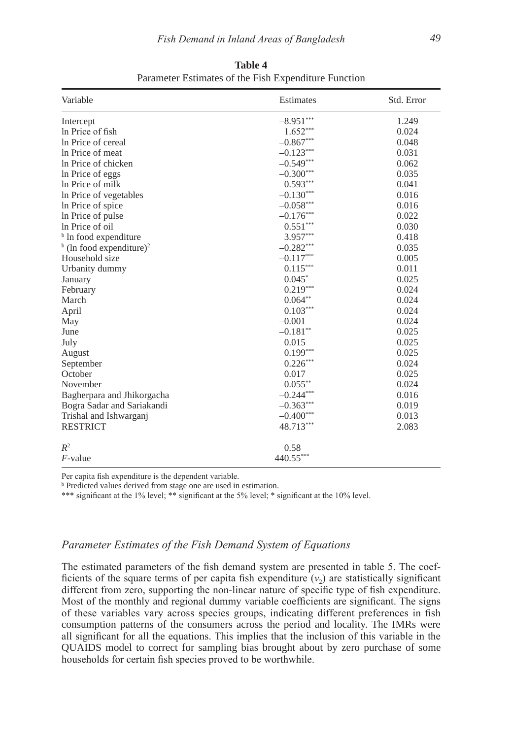| Variable                                         | Estimates   | Std. Error |
|--------------------------------------------------|-------------|------------|
| Intercept                                        | $-8.951***$ | 1.249      |
| In Price of fish                                 | $1.652***$  | 0.024      |
| In Price of cereal                               | $-0.867***$ | 0.048      |
| In Price of meat                                 | $-0.123***$ | 0.031      |
| In Price of chicken                              | $-0.549***$ | 0.062      |
| In Price of eggs                                 | $-0.300***$ | 0.035      |
| In Price of milk                                 | $-0.593***$ | 0.041      |
| In Price of vegetables                           | $-0.130***$ | 0.016      |
| In Price of spice                                | $-0.058***$ | 0.016      |
| In Price of pulse                                | $-0.176***$ | 0.022      |
| In Price of oil                                  | $0.551***$  | 0.030      |
| <sup>b</sup> In food expenditure                 | $3.957***$  | 0.418      |
| $\frac{b}{c}$ (ln food expenditure) <sup>2</sup> | $-0.282***$ | 0.035      |
| Household size                                   | $-0.117***$ | 0.005      |
| Urbanity dummy                                   | $0.115***$  | 0.011      |
| January                                          | $0.045*$    | 0.025      |
| February                                         | $0.219***$  | 0.024      |
| March                                            | $0.064**$   | 0.024      |
| April                                            | $0.103***$  | 0.024      |
| May                                              | $-0.001$    | 0.024      |
| June                                             | $-0.181$ ** | 0.025      |
| July                                             | 0.015       | 0.025      |
| August                                           | $0.199***$  | 0.025      |
| September                                        | $0.226***$  | 0.024      |
| October                                          | 0.017       | 0.025      |
| November                                         | $-0.055***$ | 0.024      |
| Bagherpara and Jhikorgacha                       | $-0.244***$ | 0.016      |
| Bogra Sadar and Sariakandi                       | $-0.363***$ | 0.019      |
| Trishal and Ishwarganj                           | $-0.400***$ | 0.013      |
| <b>RESTRICT</b>                                  | 48.713***   | 2.083      |
| $R^2$                                            | 0.58        |            |
| $F$ -value                                       | 440.55***   |            |

**Table 4** Parameter Estimates of the Fish Expenditure Function

Per capita fish expenditure is the dependent variable.

b Predicted values derived from stage one are used in estimation.

\*\*\* significant at the 1% level; \*\* significant at the 5% level; \* significant at the 10% level.

# *Parameter Estimates of the Fish Demand System of Equations*

The estimated parameters of the fish demand system are presented in table 5. The coefficients of the square terms of per capita fish expenditure  $(v_2)$  are statistically significant different from zero, supporting the non-linear nature of specific type of fish expenditure. Most of the monthly and regional dummy variable coefficients are significant. The signs of these variables vary across species groups, indicating different preferences in fish consumption patterns of the consumers across the period and locality. The IMRs were all significant for all the equations. This implies that the inclusion of this variable in the QUAIDS model to correct for sampling bias brought about by zero purchase of some households for certain fish species proved to be worthwhile.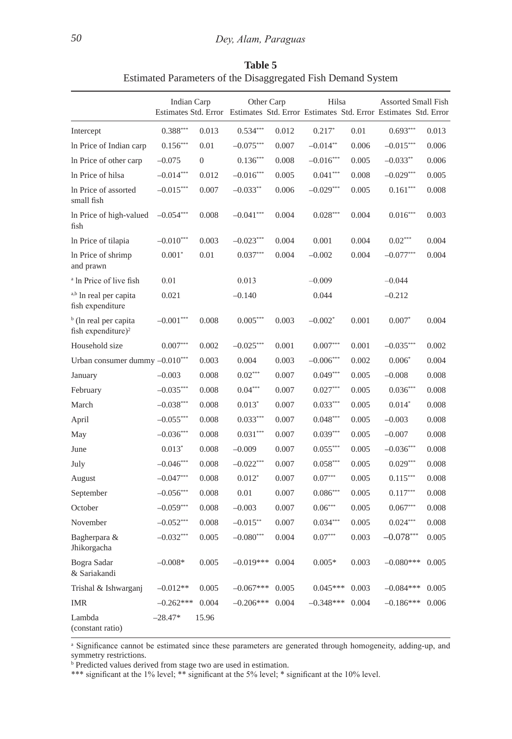|                                                                     | Indian Carp |                |             | Other Carp<br>Estimates Std. Error Estimates Std. Error Estimates Std. Error Estimates Std. Error |                        |       | <b>Assorted Small Fish</b> |       |  |
|---------------------------------------------------------------------|-------------|----------------|-------------|---------------------------------------------------------------------------------------------------|------------------------|-------|----------------------------|-------|--|
| Intercept                                                           | $0.388***$  | 0.013          | $0.534***$  | 0.012                                                                                             | $0.217*$               | 0.01  | $0.693***$                 | 0.013 |  |
| In Price of Indian carp                                             | $0.156***$  | 0.01           | $-0.075***$ | 0.007                                                                                             | $-0.014**$             | 0.006 | $-0.015***$                | 0.006 |  |
| In Price of other carp                                              | $-0.075$    | $\overline{0}$ | $0.136***$  | 0.008                                                                                             | $-0.016***$            | 0.005 | $-0.033**$                 | 0.006 |  |
| In Price of hilsa                                                   | $-0.014***$ | 0.012          | $-0.016***$ | 0.005                                                                                             | $0.041***$             | 0.008 | $-0.029***$                | 0.005 |  |
| In Price of assorted<br>small fish                                  | $-0.015***$ | 0.007          | $-0.033**$  | 0.006                                                                                             | $-0.029***$            | 0.005 | $0.161***$                 | 0.008 |  |
| In Price of high-valued<br>fish                                     | $-0.054***$ | 0.008          | $-0.041***$ | 0.004                                                                                             | $0.028***$             | 0.004 | $0.016***$                 | 0.003 |  |
| In Price of tilapia                                                 | $-0.010***$ | 0.003          | $-0.023***$ | 0.004                                                                                             | 0.001                  | 0.004 | $0.02^{\ast\ast\ast}$      | 0.004 |  |
| In Price of shrimp<br>and prawn                                     | $0.001*$    | 0.01           | $0.037***$  | 0.004                                                                                             | $-0.002$               | 0.004 | $-0.077***$                | 0.004 |  |
| <sup>a</sup> ln Price of live fish                                  | 0.01        |                | 0.013       |                                                                                                   | $-0.009$               |       | $-0.044$                   |       |  |
| a,b In real per capita<br>fish expenditure                          | 0.021       |                | $-0.140$    |                                                                                                   | 0.044                  |       | $-0.212$                   |       |  |
| <sup>b</sup> (ln real per capita)<br>fish expenditure) <sup>2</sup> | $-0.001***$ | 0.008          | $0.005***$  | 0.003                                                                                             | $-0.002*$              | 0.001 | $0.007*$                   | 0.004 |  |
| Household size                                                      | $0.007***$  | 0.002          | $-0.025***$ | 0.001                                                                                             | $0.007^{\ast\ast\ast}$ | 0.001 | $-0.035***$                | 0.002 |  |
| Urban consumer dummy $-0.010***$                                    |             | 0.003          | 0.004       | 0.003                                                                                             | $-0.006***$            | 0.002 | $0.006*$                   | 0.004 |  |
| January                                                             | $-0.003$    | 0.008          | $0.02***$   | 0.007                                                                                             | $0.049***$             | 0.005 | $-0.008$                   | 0.008 |  |
| February                                                            | $-0.035***$ | 0.008          | $0.04***$   | 0.007                                                                                             | $0.027***$             | 0.005 | $0.036***$                 | 0.008 |  |
| March                                                               | $-0.038***$ | 0.008          | $0.013*$    | 0.007                                                                                             | $0.033***$             | 0.005 | $0.014*$                   | 0.008 |  |
| April                                                               | $-0.055***$ | 0.008          | $0.033***$  | 0.007                                                                                             | $0.048***$             | 0.005 | $-0.003$                   | 0.008 |  |
| May                                                                 | $-0.036***$ | 0.008          | $0.031***$  | 0.007                                                                                             | $0.039***$             | 0.005 | $-0.007$                   | 0.008 |  |
| June                                                                | $0.013*$    | 0.008          | $-0.009$    | 0.007                                                                                             | $0.055***$             | 0.005 | $-0.036***$                | 0.008 |  |
| July                                                                | $-0.046***$ | 0.008          | $-0.022***$ | 0.007                                                                                             | $0.058***$             | 0.005 | $0.029***$                 | 0.008 |  |
| August                                                              | $-0.047***$ | 0.008          | $0.012*$    | 0.007                                                                                             | $0.07^{\ast\ast\ast}$  | 0.005 | $0.115***$                 | 0.008 |  |
| September                                                           | $-0.056***$ | 0.008          | 0.01        | 0.007                                                                                             | $0.086***$             | 0.005 | $0.117***$                 | 0.008 |  |
| October                                                             | $-0.059***$ | 0.008          | $-0.003$    | 0.007                                                                                             | $0.06***$              | 0.005 | $0.067***$                 | 0.008 |  |
| November                                                            | $-0.052***$ | 0.008          | $-0.015**$  | 0.007                                                                                             | $0.034***$             | 0.005 | $0.024***$                 | 0.008 |  |
| Bagherpara &<br>Jhikorgacha                                         | $-0.032***$ | 0.005          | $-0.080***$ | 0.004                                                                                             | $0.07***$              | 0.003 | $-0.078***$                | 0.005 |  |
| Bogra Sadar<br>& Sariakandi                                         | $-0.008*$   | 0.005          | $-0.019***$ | 0.004                                                                                             | $0.005*$               | 0.003 | $-0.080***$                | 0.005 |  |
| Trishal & Ishwarganj                                                | $-0.012**$  | 0.005          | $-0.067***$ | 0.005                                                                                             | $0.045***$             | 0.003 | $-0.084***$                | 0.005 |  |
| <b>IMR</b>                                                          | $-0.262***$ | 0.004          | $-0.206***$ | 0.004                                                                                             | $-0.348***$            | 0.004 | $-0.186***$                | 0.006 |  |
| Lambda<br>(constant ratio)                                          | $-28.47*$   | 15.96          |             |                                                                                                   |                        |       |                            |       |  |

**Table 5** Estimated Parameters of the Disaggregated Fish Demand System

<sup>a</sup> Significance cannot be estimated since these parameters are generated through homogeneity, adding-up, and symmetry restrictions. b Predicted values derived from stage two are used in estimation.

\*\*\* significant at the 1% level; \*\* significant at the 5% level; \* significant at the 10% level.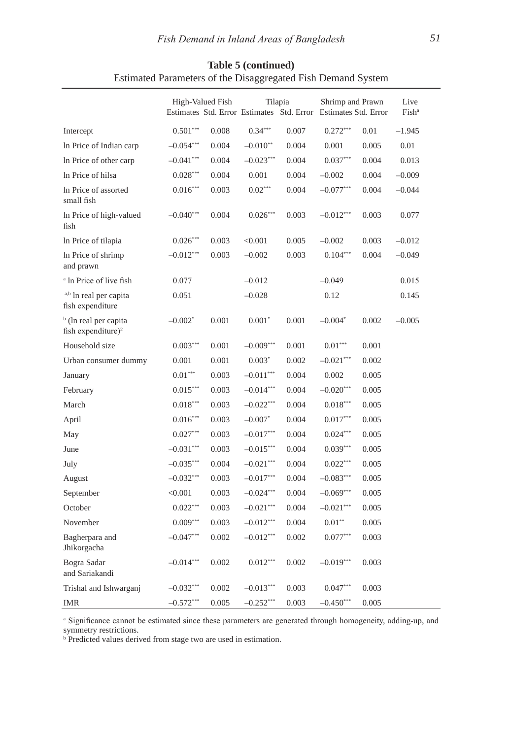|                                                                     |             | High-Valued Fish | Tilapia                |       | Shrimp and Prawn<br>Estimates Std. Error Estimates Std. Error Estimates Std. Error |       | Live<br>Fish <sup>a</sup> |
|---------------------------------------------------------------------|-------------|------------------|------------------------|-------|------------------------------------------------------------------------------------|-------|---------------------------|
| Intercept                                                           | $0.501***$  | 0.008            | $0.34***$              | 0.007 | $0.272***$                                                                         | 0.01  | $-1.945$                  |
| In Price of Indian carp                                             | $-0.054***$ | 0.004            | $-0.010**$             | 0.004 | 0.001                                                                              | 0.005 | 0.01                      |
| In Price of other carp                                              | $-0.041***$ | 0.004            | $-0.023***$            | 0.004 | $0.037***$                                                                         | 0.004 | 0.013                     |
| In Price of hilsa                                                   | $0.028***$  | 0.004            | 0.001                  | 0.004 | $-0.002$                                                                           | 0.004 | $-0.009$                  |
| In Price of assorted<br>small fish                                  | $0.016***$  | 0.003            | $0.02***$              | 0.004 | $-0.077***$                                                                        | 0.004 | $-0.044$                  |
| In Price of high-valued<br>fish                                     | $-0.040***$ | 0.004            | $0.026^{\ast\ast\ast}$ | 0.003 | $-0.012***$                                                                        | 0.003 | 0.077                     |
| In Price of tilapia                                                 | $0.026***$  | 0.003            | < 0.001                | 0.005 | $-0.002$                                                                           | 0.003 | $-0.012$                  |
| In Price of shrimp<br>and prawn                                     | $-0.012***$ | 0.003            | $-0.002$               | 0.003 | $0.104***$                                                                         | 0.004 | $-0.049$                  |
| <sup>a</sup> ln Price of live fish                                  | 0.077       |                  | $-0.012$               |       | $-0.049$                                                                           |       | 0.015                     |
| a,b In real per capita<br>fish expenditure                          | 0.051       |                  | $-0.028$               |       | 0.12                                                                               |       | 0.145                     |
| <sup>b</sup> (ln real per capita)<br>fish expenditure) <sup>2</sup> | $-0.002*$   | 0.001            | $0.001*$               | 0.001 | $-0.004*$                                                                          | 0.002 | $-0.005$                  |
| Household size                                                      | $0.003***$  | 0.001            | $-0.009***$            | 0.001 | $0.01^{\ast\ast\ast}$                                                              | 0.001 |                           |
| Urban consumer dummy                                                | 0.001       | 0.001            | $0.003*$               | 0.002 | $-0.021***$                                                                        | 0.002 |                           |
| January                                                             | $0.01***$   | 0.003            | $-0.011***$            | 0.004 | 0.002                                                                              | 0.005 |                           |
| February                                                            | $0.015***$  | 0.003            | $-0.014***$            | 0.004 | $-0.020***$                                                                        | 0.005 |                           |
| March                                                               | $0.018***$  | 0.003            | $-0.022***$            | 0.004 | $0.018***$                                                                         | 0.005 |                           |
| April                                                               | $0.016***$  | 0.003            | $-0.007*$              | 0.004 | $0.017***$                                                                         | 0.005 |                           |
| May                                                                 | $0.027***$  | 0.003            | $-0.017***$            | 0.004 | $0.024***$                                                                         | 0.005 |                           |
| June                                                                | $-0.031***$ | 0.003            | $-0.015***$            | 0.004 | $0.039***$                                                                         | 0.005 |                           |
| July                                                                | $-0.035***$ | 0.004            | $-0.021***$            | 0.004 | $0.022***$                                                                         | 0.005 |                           |
| August                                                              | $-0.032***$ | 0.003            | $-0.017***$            | 0.004 | $-0.083***$                                                                        | 0.005 |                           |
| September                                                           | < 0.001     | 0.003            | $-0.024***$            | 0.004 | $-0.069***$                                                                        | 0.005 |                           |
| October                                                             | $0.022***$  | 0.003            | $-0.021***$            | 0.004 | $-0.021***$                                                                        | 0.005 |                           |
| November                                                            | $0.009***$  | 0.003            | $-0.012***$            | 0.004 | $0.01**$                                                                           | 0.005 |                           |
| Bagherpara and<br>Jhikorgacha                                       | $-0.047***$ | 0.002            | $-0.012***$            | 0.002 | $0.077***$                                                                         | 0.003 |                           |
| Bogra Sadar<br>and Sariakandi                                       | $-0.014***$ | 0.002            | $0.012***$             | 0.002 | $-0.019***$                                                                        | 0.003 |                           |
| Trishal and Ishwarganj                                              | $-0.032***$ | 0.002            | $-0.013***$            | 0.003 | $0.047***$                                                                         | 0.003 |                           |
| <b>IMR</b>                                                          | $-0.572***$ | 0.005            | $-0.252***$            | 0.003 | $-0.450***$                                                                        | 0.005 |                           |

# **Table 5 (continued)** Estimated Parameters of the Disaggregated Fish Demand System

<sup>a</sup> Significance cannot be estimated since these parameters are generated through homogeneity, adding-up, and symmetry restrictions. b Predicted values derived from stage two are used in estimation.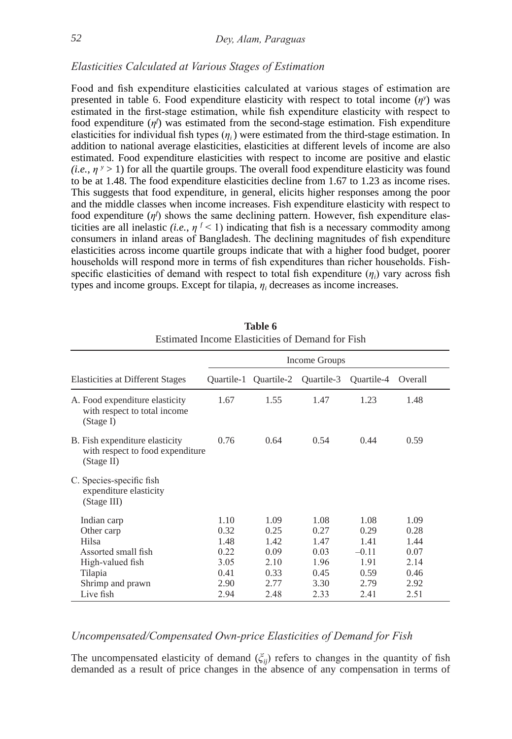# *Elasticities Calculated at Various Stages of Estimation*

Food and fish expenditure elasticities calculated at various stages of estimation are presented in table 6. Food expenditure elasticity with respect to total income  $(\eta^y)$  was estimated in the first-stage estimation, while fish expenditure elasticity with respect to food expenditure (*η<sup>f</sup>* ) was estimated from the second-stage estimation. Fish expenditure elasticities for individual fish types  $(\eta_i)$  were estimated from the third-stage estimation. In addition to national average elasticities, elasticities at different levels of income are also estimated. Food expenditure elasticities with respect to income are positive and elastic  $(i.e., \eta$ <sup>*y*</sup> > 1) for all the quartile groups. The overall food expenditure elasticity was found to be at 1.48. The food expenditure elasticities decline from 1.67 to 1.23 as income rises. This suggests that food expenditure, in general, elicits higher responses among the poor and the middle classes when income increases. Fish expenditure elasticity with respect to food expenditure (*η<sup>f</sup>* ) shows the same declining pattern. However, fish expenditure elasticities are all inelastic *(i.e.,*  $\eta^{f}$  < 1) indicating that fish is a necessary commodity among consumers in inland areas of Bangladesh. The declining magnitudes of fish expenditure elasticities across income quartile groups indicate that with a higher food budget, poorer households will respond more in terms of fish expenditures than richer households. Fishspecific elasticities of demand with respect to total fish expenditure  $(\eta_i)$  vary across fish types and income groups. Except for tilapia, *η<sup>i</sup>* decreases as income increases.

|                                                                                  | Income Groups |            |            |            |         |  |  |  |
|----------------------------------------------------------------------------------|---------------|------------|------------|------------|---------|--|--|--|
| <b>Elasticities at Different Stages</b>                                          | Ouartile-1    | Ouartile-2 | Ouartile-3 | Ouartile-4 | Overall |  |  |  |
| A. Food expenditure elasticity<br>with respect to total income<br>(Stage I)      | 1.67          | 1.55       | 1.47       | 1.23       | 1.48    |  |  |  |
| B. Fish expenditure elasticity<br>with respect to food expenditure<br>(Stage II) | 0.76          | 0.64       | 0.54       | 0.44       | 0.59    |  |  |  |
| C. Species-specific fish<br>expenditure elasticity<br>(Stage III)                |               |            |            |            |         |  |  |  |
| Indian carp                                                                      | 1.10          | 1.09       | 1.08       | 1.08       | 1.09    |  |  |  |
| Other carp                                                                       | 0.32          | 0.25       | 0.27       | 0.29       | 0.28    |  |  |  |
| Hilsa                                                                            | 1.48          | 1.42       | 1.47       | 1.41       | 1.44    |  |  |  |
| Assorted small fish                                                              | 0.22          | 0.09       | 0.03       | $-0.11$    | 0.07    |  |  |  |
| High-valued fish                                                                 | 3.05          | 2.10       | 1.96       | 1.91       | 2.14    |  |  |  |
| Tilapia                                                                          | 0.41          | 0.33       | 0.45       | 0.59       | 0.46    |  |  |  |
| Shrimp and prawn                                                                 | 2.90          | 2.77       | 3.30       | 2.79       | 2.92    |  |  |  |
| Live fish                                                                        | 2.94          | 2.48       | 2.33       | 2.41       | 2.51    |  |  |  |

**Table 6** Estimated Income Elasticities of Demand for Fish

# *Uncompensated/Compensated Own-price Elasticities of Demand for Fish*

The uncompensated elasticity of demand  $(\xi_{ij})$  refers to changes in the quantity of fish demanded as a result of price changes in the absence of any compensation in terms of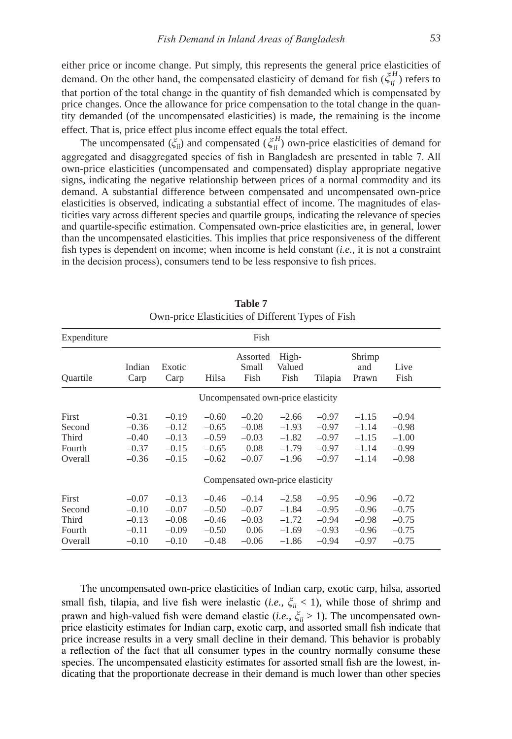either price or income change. Put simply, this represents the general price elasticities of demand. On the other hand, the compensated elasticity of demand for fish  $(\xi_{ij}^H)$  refers to that portion of the total change in the quantity of fish demanded which is compensated by price changes. once the allowance for price compensation to the total change in the quantity demanded (of the uncompensated elasticities) is made, the remaining is the income effect. That is, price effect plus income effect equals the total effect.

The uncompensated  $(\xi_{ii}^{\mu})$  and compensated  $(\xi_{ii}^H)$  own-price elasticities of demand for aggregated and disaggregated species of fish in Bangladesh are presented in table 7. All own-price elasticities (uncompensated and compensated) display appropriate negative signs, indicating the negative relationship between prices of a normal commodity and its demand. A substantial difference between compensated and uncompensated own-price elasticities is observed, indicating a substantial effect of income. The magnitudes of elasticities vary across different species and quartile groups, indicating the relevance of species and quartile-specific estimation. Compensated own-price elasticities are, in general, lower than the uncompensated elasticities. This implies that price responsiveness of the different fish types is dependent on income; when income is held constant (*i.e.*, it is not a constraint in the decision process), consumers tend to be less responsive to fish prices.

| Expenditure                                   |                                                     |                                                     |                                                     | Fish                                                                                 |                                                     |                                                     |                                                     |                                                     |  |
|-----------------------------------------------|-----------------------------------------------------|-----------------------------------------------------|-----------------------------------------------------|--------------------------------------------------------------------------------------|-----------------------------------------------------|-----------------------------------------------------|-----------------------------------------------------|-----------------------------------------------------|--|
| Ouartile                                      | Indian<br>Carp                                      | Exotic<br>Carp                                      | Hilsa                                               | Assorted<br>Small<br>Fish                                                            | High-<br>Valued<br>Fish                             | Tilapia                                             | Shrimp<br>and<br>Prawn                              | Live<br>Fish                                        |  |
|                                               |                                                     |                                                     |                                                     | Uncompensated own-price elasticity                                                   |                                                     |                                                     |                                                     |                                                     |  |
| First<br>Second<br>Third<br>Fourth<br>Overall | $-0.31$<br>$-0.36$<br>$-0.40$<br>$-0.37$<br>$-0.36$ | $-0.19$<br>$-0.12$<br>$-0.13$<br>$-0.15$<br>$-0.15$ | $-0.60$<br>$-0.65$<br>$-0.59$<br>$-0.65$<br>$-0.62$ | $-0.20$<br>$-0.08$<br>$-0.03$<br>0.08<br>$-0.07$<br>Compensated own-price elasticity | $-2.66$<br>$-1.93$<br>$-1.82$<br>$-1.79$<br>$-1.96$ | $-0.97$<br>$-0.97$<br>$-0.97$<br>$-0.97$<br>$-0.97$ | $-1.15$<br>$-1.14$<br>$-1.15$<br>$-1.14$<br>$-1.14$ | $-0.94$<br>$-0.98$<br>$-1.00$<br>$-0.99$<br>$-0.98$ |  |
| First<br>Second<br>Third<br>Fourth<br>Overall | $-0.07$<br>$-0.10$<br>$-0.13$<br>$-0.11$<br>$-0.10$ | $-0.13$<br>$-0.07$<br>$-0.08$<br>$-0.09$<br>$-0.10$ | $-0.46$<br>$-0.50$<br>$-0.46$<br>$-0.50$<br>$-0.48$ | $-0.14$<br>$-0.07$<br>$-0.03$<br>0.06<br>$-0.06$                                     | $-2.58$<br>$-1.84$<br>$-1.72$<br>$-1.69$<br>$-1.86$ | $-0.95$<br>$-0.95$<br>$-0.94$<br>$-0.93$<br>$-0.94$ | $-0.96$<br>$-0.96$<br>$-0.98$<br>$-0.96$<br>$-0.97$ | $-0.72$<br>$-0.75$<br>$-0.75$<br>$-0.75$<br>$-0.75$ |  |

| <b>Table 7</b> |                                                   |
|----------------|---------------------------------------------------|
|                | Own-price Elasticities of Different Types of Fish |

The uncompensated own-price elasticities of Indian carp, exotic carp, hilsa, assorted small fish, tilapia, and live fish were inelastic (*i.e.*,  $\zeta_{ii}$  < 1), while those of shrimp and prawn and high-valued fish were demand elastic (*i.e.*, *ξii* > 1). The uncompensated ownprice elasticity estimates for Indian carp, exotic carp, and assorted small fish indicate that price increase results in a very small decline in their demand. This behavior is probably a reflection of the fact that all consumer types in the country normally consume these species. The uncompensated elasticity estimates for assorted small fish are the lowest, indicating that the proportionate decrease in their demand is much lower than other species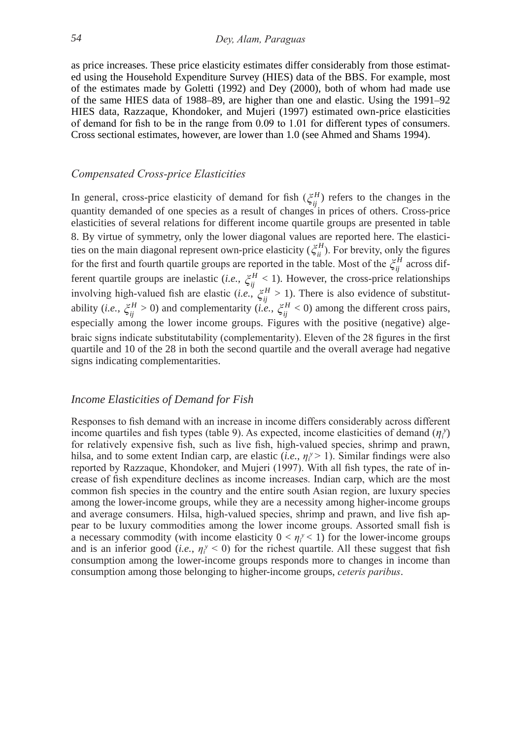as price increases. These price elasticity estimates differ considerably from those estimated using the Household Expenditure Survey (HIES) data of the BBS. For example, most of the estimates made by goletti (1992) and Dey (2000), both of whom had made use of the same HIES data of 1988–89, are higher than one and elastic. Using the 1991–92 HIES data, Razzaque, Khondoker, and Mujeri (1997) estimated own-price elasticities of demand for fish to be in the range from 0.09 to 1.01 for different types of consumers. Cross sectional estimates, however, are lower than 1.0 (see Ahmed and Shams 1994).

#### *Compensated Cross-price Elasticities*

In general, cross-price elasticity of demand for fish  $(\zeta_{ij}^H)$  refers to the changes in the quantity demanded of one species as a result of changes in prices of others. Cross-price elasticities of several relations for different income quartile groups are presented in table 8. By virtue of symmetry, only the lower diagonal values are reported here. The elasticities on the main diagonal represent own-price elasticity ( $\zeta_{ii}^H$ ). For brevity, only the figures for the first and fourth quartile groups are reported in the table. Most of the  $\zeta_{ij}^H$  across different quartile groups are inelastic (*i.e.*,  $\xi_{ij}^H < 1$ ). However, the cross-price relationships involving high-valued fish are elastic (*i.e.*,  $\zeta_{ij}^H > 1$ ). There is also evidence of substitutability (*i.e.*,  $\zeta_{ij}^H > 0$ ) and complementarity (*i.e.*,  $\zeta_{ij}^H < 0$ ) among the different cross pairs, especially among the lower income groups. Figures with the positive (negative) algebraic signs indicate substitutability (complementarity). Eleven of the 28 figures in the first quartile and 10 of the 28 in both the second quartile and the overall average had negative signs indicating complementarities.

# *Income Elasticities of Demand for Fish*

Responses to fish demand with an increase in income differs considerably across different income quartiles and fish types (table 9). As expected, income elasticities of demand  $(\eta_i^y)$ for relatively expensive fish, such as live fish, high-valued species, shrimp and prawn, hilsa, and to some extent Indian carp, are elastic  $(i.e., \eta_i^y > 1)$ . Similar findings were also reported by Razzaque, Khondoker, and Mujeri (1997). With all fish types, the rate of increase of fish expenditure declines as income increases. Indian carp, which are the most common fish species in the country and the entire south Asian region, are luxury species among the lower-income groups, while they are a necessity among higher-income groups and average consumers. Hilsa, high-valued species, shrimp and prawn, and live fish appear to be luxury commodities among the lower income groups. Assorted small fish is a necessary commodity (with income elasticity  $0 < \eta_i^y < 1$ ) for the lower-income groups and is an inferior good (*i.e.*,  $\eta_i^y < 0$ ) for the richest quartile. All these suggest that fish consumption among the lower-income groups responds more to changes in income than consumption among those belonging to higher-income groups, *ceteris paribus*.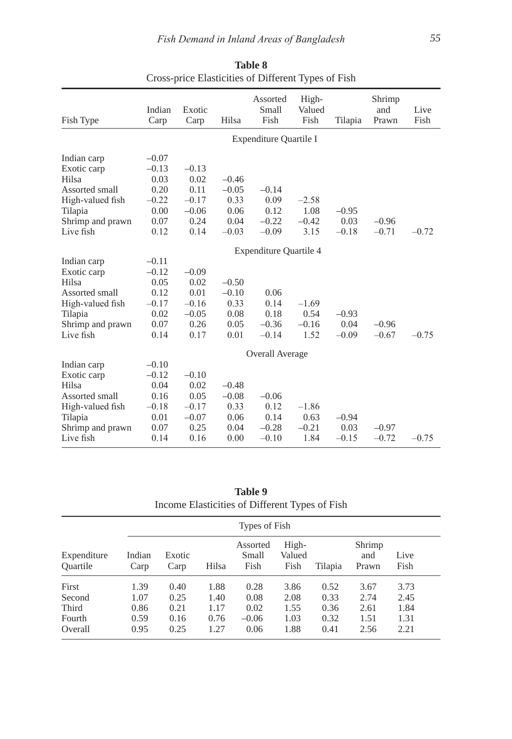| Fish Type        | Indian<br>Carp | Exotic<br>Carp | Hilsa   | Assorted<br>Small<br>Fish     | High-<br>Valued<br>Fish | Tilapia | Shrimp<br>and<br>Prawn | Live<br>Fish |
|------------------|----------------|----------------|---------|-------------------------------|-------------------------|---------|------------------------|--------------|
|                  |                |                |         | Expenditure Quartile I        |                         |         |                        |              |
| Indian carp      | $-0.07$        |                |         |                               |                         |         |                        |              |
| Exotic carp      | $-0.13$        | $-0.13$        |         |                               |                         |         |                        |              |
| Hilsa            | 0.03           | 0.02           | $-0.46$ |                               |                         |         |                        |              |
| Assorted small   | 0.20           | 0.11           | $-0.05$ | $-0.14$                       |                         |         |                        |              |
| High-valued fish | $-0.22$        | $-0.17$        | 0.33    | 0.09                          | $-2.58$                 |         |                        |              |
| Tilapia          | 0.00           | $-0.06$        | 0.06    | 0.12                          | 1.08                    | $-0.95$ |                        |              |
| Shrimp and prawn | 0.07           | 0.24           | 0.04    | $-0.22$                       | $-0.42$                 | 0.03    | $-0.96$                |              |
| Live fish        | 0.12           | 0.14           | $-0.03$ | $-0.09$                       | 3.15                    | $-0.18$ | $-0.71$                | $-0.72$      |
|                  |                |                |         | <b>Expenditure Quartile 4</b> |                         |         |                        |              |
| Indian carp      | $-0.11$        |                |         |                               |                         |         |                        |              |
| Exotic carp      | $-0.12$        | $-0.09$        |         |                               |                         |         |                        |              |
| Hilsa            | 0.05           | 0.02           | $-0.50$ |                               |                         |         |                        |              |
| Assorted small   | 0.12           | 0.01           | $-0.10$ | 0.06                          |                         |         |                        |              |
| High-valued fish | $-0.17$        | $-0.16$        | 0.33    | 0.14                          | $-1.69$                 |         |                        |              |
| Tilapia          | 0.02           | $-0.05$        | 0.08    | 0.18                          | 0.54                    | $-0.93$ |                        |              |
| Shrimp and prawn | 0.07           | 0.26           | 0.05    | $-0.36$                       | $-0.16$                 | 0.04    | $-0.96$                |              |
| Live fish        | 0.14           | 0.17           | 0.01    | $-0.14$                       | 1.52                    | $-0.09$ | $-0.67$                | $-0.75$      |
|                  |                |                |         | Overall Average               |                         |         |                        |              |
| Indian carp      | $-0.10$        |                |         |                               |                         |         |                        |              |
| Exotic carp      | $-0.12$        | $-0.10$        |         |                               |                         |         |                        |              |
| Hilsa            | 0.04           | 0.02           | $-0.48$ |                               |                         |         |                        |              |
| Assorted small   | 0.16           | 0.05           | $-0.08$ | $-0.06$                       |                         |         |                        |              |
| High-valued fish | $-0.18$        | $-0.17$        | 0.33    | 0.12                          | $-1.86$                 |         |                        |              |
| Tilapia          | 0.01           | $-0.07$        | 0.06    | 0.14                          | 0.63                    | $-0.94$ |                        |              |
| Shrimp and prawn | 0.07           | 0.25           | 0.04    | $-0.28$                       | $-0.21$                 | 0.03    | $-0.97$                |              |
| Live fish        | 0.14           | 0.16           | 0.00    | $-0.10$                       | 1.84                    | $-0.15$ | $-0.72$                | $-0.75$      |

**Table 8** Cross-price Elasticities of Different Types of Fish

**Table 9** Income Elasticities of Different Types of Fish

|                                | Types of Fish  |                |       |                           |                         |         |                        |              |  |  |
|--------------------------------|----------------|----------------|-------|---------------------------|-------------------------|---------|------------------------|--------------|--|--|
| Expenditure<br><b>Ouartile</b> | Indian<br>Carp | Exotic<br>Carp | Hilsa | Assorted<br>Small<br>Fish | High-<br>Valued<br>Fish | Tilapia | Shrimp<br>and<br>Prawn | Live<br>Fish |  |  |
| First                          | 1.39           | 0.40           | 1.88  | 0.28                      | 3.86                    | 0.52    | 3.67                   | 3.73         |  |  |
| Second                         | 1.07           | 0.25           | 1.40  | 0.08                      | 2.08                    | 0.33    | 2.74                   | 2.45         |  |  |
| Third                          | 0.86           | 0.21           | 1.17  | 0.02                      | 1.55                    | 0.36    | 2.61                   | 1.84         |  |  |
| Fourth                         | 0.59           | 0.16           | 0.76  | $-0.06$                   | 1.03                    | 0.32    | 1.51                   | 1.31         |  |  |
| Overall                        | 0.95           | 0.25           | 1.27  | 0.06                      | 1.88                    | 0.41    | 2.56                   | 2.21         |  |  |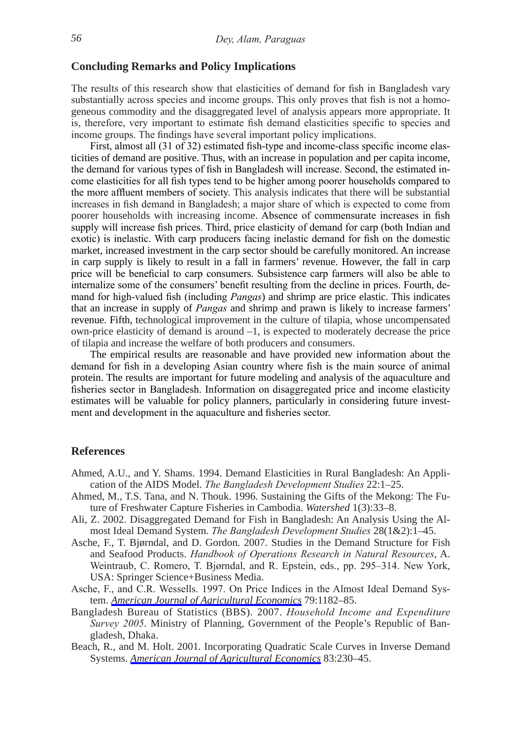# **Concluding Remarks and Policy Implications**

The results of this research show that elasticities of demand for fish in Bangladesh vary substantially across species and income groups. This only proves that fish is not a homogeneous commodity and the disaggregated level of analysis appears more appropriate. It is, therefore, very important to estimate fish demand elasticities specific to species and income groups. The findings have several important policy implications.

 First, almost all (31 of 32) estimated fish-type and income-class specific income elasticities of demand are positive. Thus, with an increase in population and per capita income, the demand for various types of fish in Bangladesh will increase. Second, the estimated income elasticities for all fish types tend to be higher among poorer households compared to the more affluent members of society. This analysis indicates that there will be substantial increases in fish demand in Bangladesh; a major share of which is expected to come from poorer households with increasing income. Absence of commensurate increases in fish supply will increase fish prices. Third, price elasticity of demand for carp (both Indian and exotic) is inelastic. With carp producers facing inelastic demand for fish on the domestic market, increased investment in the carp sector should be carefully monitored. An increase in carp supply is likely to result in a fall in farmers' revenue. However, the fall in carp price will be beneficial to carp consumers. Subsistence carp farmers will also be able to internalize some of the consumers' benefit resulting from the decline in prices. Fourth, demand for high-valued fish (including *Pangas*) and shrimp are price elastic. This indicates that an increase in supply of *Pangas* and shrimp and prawn is likely to increase farmers' revenue. Fifth, technological improvement in the culture of tilapia, whose uncompensated  $own-price$  elasticity of demand is around  $-1$ , is expected to moderately decrease the price of tilapia and increase the welfare of both producers and consumers.

The empirical results are reasonable and have provided new information about the demand for fish in a developing Asian country where fish is the main source of animal protein. The results are important for future modeling and analysis of the aquaculture and fisheries sector in Bangladesh. Information on disaggregated price and income elasticity estimates will be valuable for policy planners, particularly in considering future investment and development in the aquaculture and fisheries sector.

#### **References**

- Ahmed, A.U., and y. Shams. 1994. Demand Elasticities in Rural Bangladesh: An Application of the AIDS Model. *The Bangladesh Development Studies* 22:1–25.
- Ahmed, M., T.S. Tana, and N. Thouk. 1996. Sustaining the Gifts of the Mekong: The Future of Freshwater Capture Fisheries in Cambodia. *Watershed* 1(3):33–8.
- Ali, Z. 2002. Disaggregated Demand for Fish in Bangladesh: An Analysis Using the Almost Ideal Demand System. *The Bangladesh Development Studies* 28(1&2):1–45.
- Asche, F., T. Bjørndal, and D. Gordon. 2007. Studies in the Demand Structure for Fish and Seafood Products. *Handbook of Operations Research in Natural Resources*, A. Weintraub, C. Romero, T. Bjørndal, and R. Epstein, eds., pp. 295–314. New York, USA: Springer Science+Business Media.
- Asche, F., and C.R. Wessells. 1997. On Price Indices in the Almost Ideal Demand System. *[American Journal of Agricultural Economics](https://www.journals.uchicago.edu/action/showLinks?crossref=10.2307%2F1244275&citationId=p_12)* 79:1182–85.
- Bangladesh Bureau of Statistics (BBS). 2007. *Household Income and Expenditure Survey 2005*. Ministry of Planning, Government of the People's Republic of Bangladesh, Dhaka.
- Beach, R., and M. Holt. 2001. Incorporating Quadratic Scale Curves in Inverse Demand Systems. *[American Journal of Agricultural Economics](https://www.journals.uchicago.edu/action/showLinks?crossref=10.1111%2F0002-9092.00150&citationId=p_14)* 83:230–45.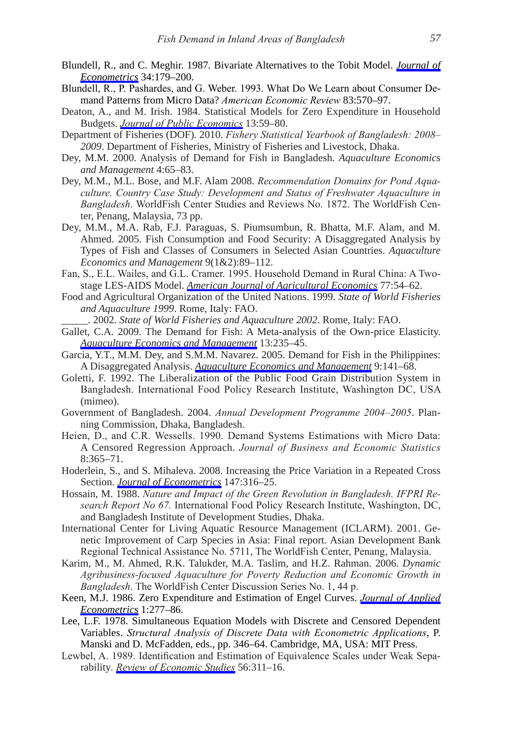- Blundell, R., and C. Meghir. 1987. Bivariate Alternatives to the Tobit Model. *[Journal of](https://www.journals.uchicago.edu/action/showLinks?crossref=10.1016%2F0304-4076%2887%2990072-8&citationId=p_15) [Econometrics](https://www.journals.uchicago.edu/action/showLinks?crossref=10.1016%2F0304-4076%2887%2990072-8&citationId=p_15)* 34:179–200.
- Blundell, R., P. Pashardes, and G. Weber. 1993. What Do We Learn about Consumer Demand Patterns from Micro Data? *American Economic Review* 83:570–97.
- Deaton, A., and M. Irish. 1984. Statistical Models for Zero Expenditure in Household Budgets. *[Journal of Public Economics](https://www.journals.uchicago.edu/action/showLinks?crossref=10.1016%2F0047-2727%2884%2990067-7&citationId=p_17)* 13:59–80.
- Department of Fisheries (DoF). 2010. *Fishery Statistical Yearbook of Bangladesh: 2008– 2009*. Department of Fisheries, Ministry of Fisheries and livestock, Dhaka.
- Dey, M.M. 2000. Analysis of Demand for Fish in Bangladesh. *Aquaculture Economics and Management* 4:65–83.
- Dey, M.M., M.l. Bose, and M.F. Alam 2008. *Recommendation Domains for Pond Aquaculture. Country Case Study: Development and Status of Freshwater Aquaculture in Bangladesh*. WorldFish Center Studies and Reviews No. 1872. The WorldFish Center, Penang, Malaysia, 73 pp.
- Dey, M.M., M.A. Rab, F.J. Paraguas, S. Piumsumbun, R. Bhatta, M.F. Alam, and M. Ahmed. 2005. Fish Consumption and Food Security: A Disaggregated Analysis by Types of Fish and Classes of Consumers in Selected Asian Countries. *Aquaculture Economics and Management* 9(1&2):89–112.
- Fan, S., E.L. Wailes, and G.L. Cramer. 1995. Household Demand in Rural China: A Twostage lES-AIDS Model. *[American Journal of Agricultural Economics](https://www.journals.uchicago.edu/action/showLinks?crossref=10.2307%2F1243888&citationId=p_23)* 77:54–62.
- Food and Agricultural organization of the United Nations. 1999. *State of World Fisheries and Aquaculture 1999*. Rome, Italy: FAo.

\_\_\_\_\_. 2002. *State of World Fisheries and Aquaculture 2002*. Rome, Italy: FAo.

- Gallet, C.A. 2009. The Demand for Fish: A Meta-analysis of the Own-price Elasticity. *[Aquaculture Economics and Management](https://www.journals.uchicago.edu/action/showLinks?crossref=10.1080%2F13657300903123985&citationId=p_26)* 13:235–45.
- Garcia, Y.T., M.M. Dey, and S.M.M. Navarez. 2005. Demand for Fish in the Philippines: A Disaggregated Analysis. *[Aquaculture Economics and Management](https://www.journals.uchicago.edu/action/showLinks?crossref=10.1080%2F13657300591001810&citationId=p_27)* 9:141–68.
- Goletti, F. 1992. The Liberalization of the Public Food Grain Distribution System in Bangladesh. International Food Policy Research Institute, Washington DC, USA (mimeo).
- Government of Bangladesh. 2004. *Annual Development Programme 2004–2005*. Planning Commission, Dhaka, Bangladesh.
- Heien, D., and C.R. Wessells. 1990. Demand Systems Estimations with Micro Data: A Censored Regression Approach. *Journal of Business and Economic Statistics* 8:365–71.
- Hoderlein, S., and S. Mihaleva. 2008. Increasing the Price Variation in a Repeated Cross Section. *[Journal of Econometrics](https://www.journals.uchicago.edu/action/showLinks?crossref=10.1016%2Fj.jeconom.2008.09.022&citationId=p_31)* 147:316–25.
- Hossain, M. 1988. *Nature and Impact of the Green Revolution in Bangladesh. IFPRI Research Report No 67.* International Food Policy Research Institute, Washington, DC, and Bangladesh Institute of Development Studies, Dhaka.
- International Center for living Aquatic Resource Management (IClARM). 2001. genetic Improvement of Carp Species in Asia: Final report. Asian Development Bank Regional Technical Assistance No. 5711, The WorldFish Center, Penang, Malaysia.
- Karim, M., M. Ahmed, R.K. Talukder, M.A. Taslim, and H.Z. Rahman. 2006. *Dynamic Agribusiness-focused Aquaculture for Poverty Reduction and Economic Growth in Bangladesh*. The WorldFish Center Discussion Series No. 1, 44 p.
- Keen, M.J. 1986. Zero Expenditure and Estimation of Engel Curves. *[Journal of Applied](https://www.journals.uchicago.edu/action/showLinks?crossref=10.1002%2Fjae.3950010305&citationId=p_35) [Econometrics](https://www.journals.uchicago.edu/action/showLinks?crossref=10.1002%2Fjae.3950010305&citationId=p_35)* 1:277–86.
- Lee, L.F. 1978. Simultaneous Equation Models with Discrete and Censored Dependent Variables. *Structural Analysis of Discrete Data with Econometric Applications*, P. Manski and D. McFadden, eds., pp. 346–64. Cambridge, MA, USA: MIT Press.
- Lewbel, A. 1989. Identification and Estimation of Equivalence Scales under Weak Separability*. [Review of Economic Studies](https://www.journals.uchicago.edu/action/showLinks?crossref=10.2307%2F2297464&citationId=p_37)* 56:311–16.